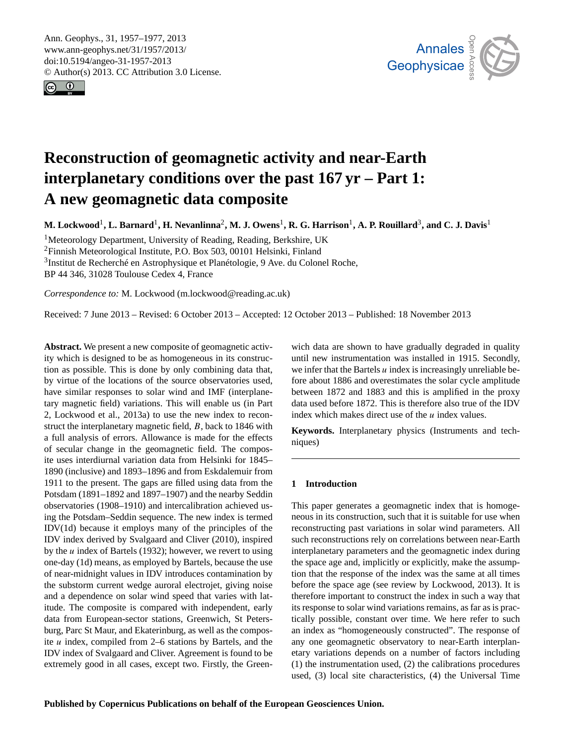<span id="page-0-0"></span>Ann. Geophys., 31, 1957–1977, 2013 www.ann-geophys.net/31/1957/2013/ doi:10.5194/angeo-31-1957-2013 © Author(s) 2013. CC Attribution 3.0 License.





# **Reconstruction of geomagnetic activity and near-Earth interplanetary conditions over the past 167 yr – Part 1: A new geomagnetic data composite**

 $M$ . Lockwood<sup>1</sup>, L. Barnard<sup>1</sup>, H. Nevanlinna<sup>2</sup>, M. J. Owens<sup>1</sup>, R. G. Harrison<sup>1</sup>, A. P. Rouillard<sup>3</sup>, and C. J. Davis<sup>1</sup>

<sup>1</sup>Meteorology Department, University of Reading, Reading, Berkshire, UK <sup>2</sup>Finnish Meteorological Institute, P.O. Box 503, 00101 Helsinki, Finland <sup>3</sup>Institut de Recherché en Astrophysique et Planétologie, 9 Ave. du Colonel Roche, BP 44 346, 31028 Toulouse Cedex 4, France

*Correspondence to:* M. Lockwood (m.lockwood@reading.ac.uk)

Received: 7 June 2013 – Revised: 6 October 2013 – Accepted: 12 October 2013 – Published: 18 November 2013

**Abstract.** We present a new composite of geomagnetic activity which is designed to be as homogeneous in its construction as possible. This is done by only combining data that, by virtue of the locations of the source observatories used, have similar responses to solar wind and IMF (interplanetary magnetic field) variations. This will enable us (in Part 2, Lockwood et al., 2013a) to use the new index to reconstruct the interplanetary magnetic field, B, back to 1846 with a full analysis of errors. Allowance is made for the effects of secular change in the geomagnetic field. The composite uses interdiurnal variation data from Helsinki for 1845– 1890 (inclusive) and 1893–1896 and from Eskdalemuir from 1911 to the present. The gaps are filled using data from the Potsdam (1891–1892 and 1897–1907) and the nearby Seddin observatories (1908–1910) and intercalibration achieved using the Potsdam–Seddin sequence. The new index is termed IDV(1d) because it employs many of the principles of the IDV index derived by Svalgaard and Cliver (2010), inspired by the  $u$  index of Bartels (1932); however, we revert to using one-day (1d) means, as employed by Bartels, because the use of near-midnight values in IDV introduces contamination by the substorm current wedge auroral electrojet, giving noise and a dependence on solar wind speed that varies with latitude. The composite is compared with independent, early data from European-sector stations, Greenwich, St Petersburg, Parc St Maur, and Ekaterinburg, as well as the composite  $u$  index, compiled from 2–6 stations by Bartels, and the IDV index of Svalgaard and Cliver. Agreement is found to be extremely good in all cases, except two. Firstly, the Green-

wich data are shown to have gradually degraded in quality until new instrumentation was installed in 1915. Secondly, we infer that the Bartels  $u$  index is increasingly unreliable before about 1886 and overestimates the solar cycle amplitude between 1872 and 1883 and this is amplified in the proxy data used before 1872. This is therefore also true of the IDV index which makes direct use of the  $u$  index values.

**Keywords.** Interplanetary physics (Instruments and techniques)

## **1 Introduction**

This paper generates a geomagnetic index that is homogeneous in its construction, such that it is suitable for use when reconstructing past variations in solar wind parameters. All such reconstructions rely on correlations between near-Earth interplanetary parameters and the geomagnetic index during the space age and, implicitly or explicitly, make the assumption that the response of the index was the same at all times before the space age (see review by Lockwood, 2013). It is therefore important to construct the index in such a way that its response to solar wind variations remains, as far as is practically possible, constant over time. We here refer to such an index as "homogeneously constructed". The response of any one geomagnetic observatory to near-Earth interplanetary variations depends on a number of factors including (1) the instrumentation used, (2) the calibrations procedures used, (3) local site characteristics, (4) the Universal Time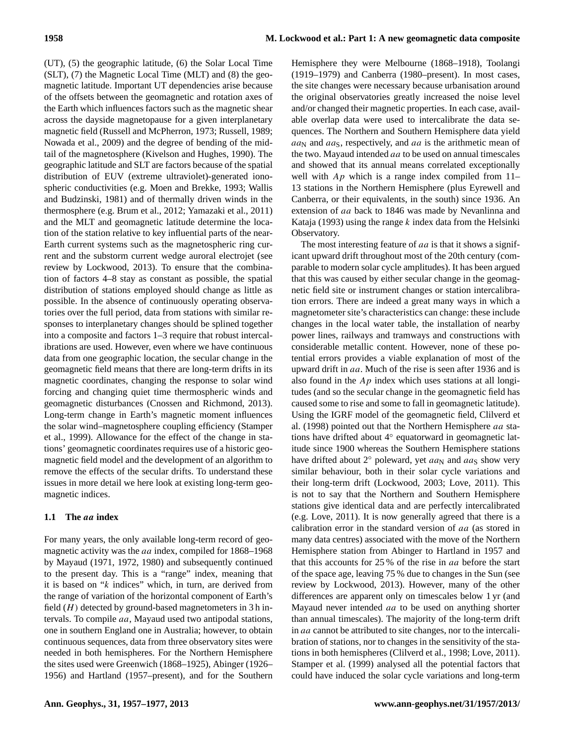(UT), (5) the geographic latitude, (6) the Solar Local Time (SLT), (7) the Magnetic Local Time (MLT) and (8) the geomagnetic latitude. Important UT dependencies arise because of the offsets between the geomagnetic and rotation axes of the Earth which influences factors such as the magnetic shear across the dayside magnetopause for a given interplanetary magnetic field (Russell and McPherron, 1973; Russell, 1989; Nowada et al., 2009) and the degree of bending of the midtail of the magnetosphere (Kivelson and Hughes, 1990). The geographic latitude and SLT are factors because of the spatial distribution of EUV (extreme ultraviolet)-generated ionospheric conductivities (e.g. Moen and Brekke, 1993; Wallis and Budzinski, 1981) and of thermally driven winds in the thermosphere (e.g. Brum et al., 2012; Yamazaki et al., 2011) and the MLT and geomagnetic latitude determine the location of the station relative to key influential parts of the near-Earth current systems such as the magnetospheric ring current and the substorm current wedge auroral electrojet (see review by Lockwood, 2013). To ensure that the combination of factors 4–8 stay as constant as possible, the spatial distribution of stations employed should change as little as possible. In the absence of continuously operating observatories over the full period, data from stations with similar responses to interplanetary changes should be splined together into a composite and factors 1–3 require that robust intercalibrations are used. However, even where we have continuous data from one geographic location, the secular change in the geomagnetic field means that there are long-term drifts in its magnetic coordinates, changing the response to solar wind forcing and changing quiet time thermospheric winds and geomagnetic disturbances (Cnossen and Richmond, 2013). Long-term change in Earth's magnetic moment influences the solar wind–magnetosphere coupling efficiency (Stamper et al., 1999). Allowance for the effect of the change in stations' geomagnetic coordinates requires use of a historic geomagnetic field model and the development of an algorithm to remove the effects of the secular drifts. To understand these issues in more detail we here look at existing long-term geomagnetic indices.

## **1.1 The** aa **index**

For many years, the only available long-term record of geomagnetic activity was the aa index, compiled for 1868–1968 by Mayaud (1971, 1972, 1980) and subsequently continued to the present day. This is a "range" index, meaning that it is based on "k indices" which, in turn, are derived from the range of variation of the horizontal component of Earth's field  $(H)$  detected by ground-based magnetometers in 3 h intervals. To compile aa, Mayaud used two antipodal stations, one in southern England one in Australia; however, to obtain continuous sequences, data from three observatory sites were needed in both hemispheres. For the Northern Hemisphere the sites used were Greenwich (1868–1925), Abinger (1926– 1956) and Hartland (1957–present), and for the Southern Hemisphere they were Melbourne (1868–1918), Toolangi (1919–1979) and Canberra (1980–present). In most cases, the site changes were necessary because urbanisation around the original observatories greatly increased the noise level and/or changed their magnetic properties. In each case, available overlap data were used to intercalibrate the data sequences. The Northern and Southern Hemisphere data yield  $aa_N$  and  $aa_S$ , respectively, and  $aa$  is the arithmetic mean of the two. Mayaud intended  $aa$  to be used on annual timescales and showed that its annual means correlated exceptionally well with  $Ap$  which is a range index compiled from 11– 13 stations in the Northern Hemisphere (plus Eyrewell and Canberra, or their equivalents, in the south) since 1936. An extension of aa back to 1846 was made by Nevanlinna and Kataja (1993) using the range  $k$  index data from the Helsinki Observatory.

The most interesting feature of aa is that it shows a significant upward drift throughout most of the 20th century (comparable to modern solar cycle amplitudes). It has been argued that this was caused by either secular change in the geomagnetic field site or instrument changes or station intercalibration errors. There are indeed a great many ways in which a magnetometer site's characteristics can change: these include changes in the local water table, the installation of nearby power lines, railways and tramways and constructions with considerable metallic content. However, none of these potential errors provides a viable explanation of most of the upward drift in aa. Much of the rise is seen after 1936 and is also found in the  $Ap$  index which uses stations at all longitudes (and so the secular change in the geomagnetic field has caused some to rise and some to fall in geomagnetic latitude). Using the IGRF model of the geomagnetic field, Clilverd et al. (1998) pointed out that the Northern Hemisphere aa stations have drifted about 4◦ equatorward in geomagnetic latitude since 1900 whereas the Southern Hemisphere stations have drifted about  $2°$  poleward, yet  $aa_N$  and  $aa_S$  show very similar behaviour, both in their solar cycle variations and their long-term drift (Lockwood, 2003; Love, 2011). This is not to say that the Northern and Southern Hemisphere stations give identical data and are perfectly intercalibrated (e.g. Love, 2011). It is now generally agreed that there is a calibration error in the standard version of aa (as stored in many data centres) associated with the move of the Northern Hemisphere station from Abinger to Hartland in 1957 and that this accounts for 25 % of the rise in aa before the start of the space age, leaving 75 % due to changes in the Sun (see review by Lockwood, 2013). However, many of the other differences are apparent only on timescales below 1 yr (and Mayaud never intended *aa* to be used on anything shorter than annual timescales). The majority of the long-term drift in aa cannot be attributed to site changes, nor to the intercalibration of stations, nor to changes in the sensitivity of the stations in both hemispheres (Clilverd et al., 1998; Love, 2011). Stamper et al. (1999) analysed all the potential factors that could have induced the solar cycle variations and long-term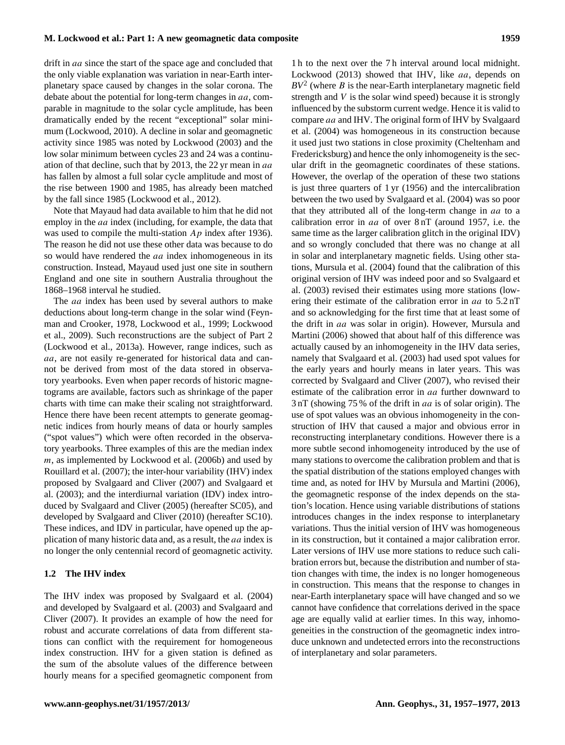drift in *aa* since the start of the space age and concluded that the only viable explanation was variation in near-Earth interplanetary space caused by changes in the solar corona. The debate about the potential for long-term changes in aa, comparable in magnitude to the solar cycle amplitude, has been dramatically ended by the recent "exceptional" solar minimum (Lockwood, 2010). A decline in solar and geomagnetic activity since 1985 was noted by Lockwood (2003) and the low solar minimum between cycles 23 and 24 was a continuation of that decline, such that by 2013, the 22 yr mean in aa has fallen by almost a full solar cycle amplitude and most of the rise between 1900 and 1985, has already been matched by the fall since 1985 (Lockwood et al., 2012).

Note that Mayaud had data available to him that he did not employ in the *aa* index (including, for example, the data that was used to compile the multi-station  $Ap$  index after 1936). The reason he did not use these other data was because to do so would have rendered the *aa* index inhomogeneous in its construction. Instead, Mayaud used just one site in southern England and one site in southern Australia throughout the 1868–1968 interval he studied.

The *aa* index has been used by several authors to make deductions about long-term change in the solar wind (Feynman and Crooker, 1978, Lockwood et al., 1999; Lockwood et al., 2009). Such reconstructions are the subject of Part 2 (Lockwood et al., 2013a). However, range indices, such as aa, are not easily re-generated for historical data and cannot be derived from most of the data stored in observatory yearbooks. Even when paper records of historic magnetograms are available, factors such as shrinkage of the paper charts with time can make their scaling not straightforward. Hence there have been recent attempts to generate geomagnetic indices from hourly means of data or hourly samples ("spot values") which were often recorded in the observatory yearbooks. Three examples of this are the median index m, as implemented by Lockwood et al. (2006b) and used by Rouillard et al. (2007); the inter-hour variability (IHV) index proposed by Svalgaard and Cliver (2007) and Svalgaard et al. (2003); and the interdiurnal variation (IDV) index introduced by Svalgaard and Cliver (2005) (hereafter SC05), and developed by Svalgaard and Cliver (2010) (hereafter SC10). These indices, and IDV in particular, have opened up the application of many historic data and, as a result, the aa index is no longer the only centennial record of geomagnetic activity.

## **1.2 The IHV index**

The IHV index was proposed by Svalgaard et al. (2004) and developed by Svalgaard et al. (2003) and Svalgaard and Cliver (2007). It provides an example of how the need for robust and accurate correlations of data from different stations can conflict with the requirement for homogeneous index construction. IHV for a given station is defined as the sum of the absolute values of the difference between hourly means for a specified geomagnetic component from

1 h to the next over the 7 h interval around local midnight. Lockwood (2013) showed that IHV, like *aa*, depends on  $BV<sup>2</sup>$  (where *B* is the near-Earth interplanetary magnetic field strength and  $V$  is the solar wind speed) because it is strongly influenced by the substorm current wedge. Hence it is valid to compare aa and IHV. The original form of IHV by Svalgaard et al. (2004) was homogeneous in its construction because it used just two stations in close proximity (Cheltenham and Fredericksburg) and hence the only inhomogeneity is the secular drift in the geomagnetic coordinates of these stations. However, the overlap of the operation of these two stations is just three quarters of 1 yr (1956) and the intercalibration between the two used by Svalgaard et al. (2004) was so poor that they attributed all of the long-term change in aa to a calibration error in aa of over 8 nT (around 1957, i.e. the same time as the larger calibration glitch in the original IDV) and so wrongly concluded that there was no change at all in solar and interplanetary magnetic fields. Using other stations, Mursula et al. (2004) found that the calibration of this original version of IHV was indeed poor and so Svalgaard et al. (2003) revised their estimates using more stations (lowering their estimate of the calibration error in  $aa$  to  $5.2 \text{ nT}$ and so acknowledging for the first time that at least some of the drift in aa was solar in origin). However, Mursula and Martini (2006) showed that about half of this difference was actually caused by an inhomogeneity in the IHV data series, namely that Svalgaard et al. (2003) had used spot values for the early years and hourly means in later years. This was corrected by Svalgaard and Cliver (2007), who revised their estimate of the calibration error in *aa* further downward to 3 nT (showing 75 % of the drift in aa is of solar origin). The use of spot values was an obvious inhomogeneity in the construction of IHV that caused a major and obvious error in reconstructing interplanetary conditions. However there is a more subtle second inhomogeneity introduced by the use of many stations to overcome the calibration problem and that is the spatial distribution of the stations employed changes with time and, as noted for IHV by Mursula and Martini (2006), the geomagnetic response of the index depends on the station's location. Hence using variable distributions of stations introduces changes in the index response to interplanetary variations. Thus the initial version of IHV was homogeneous in its construction, but it contained a major calibration error. Later versions of IHV use more stations to reduce such calibration errors but, because the distribution and number of station changes with time, the index is no longer homogeneous in construction. This means that the response to changes in near-Earth interplanetary space will have changed and so we cannot have confidence that correlations derived in the space age are equally valid at earlier times. In this way, inhomogeneities in the construction of the geomagnetic index introduce unknown and undetected errors into the reconstructions of interplanetary and solar parameters.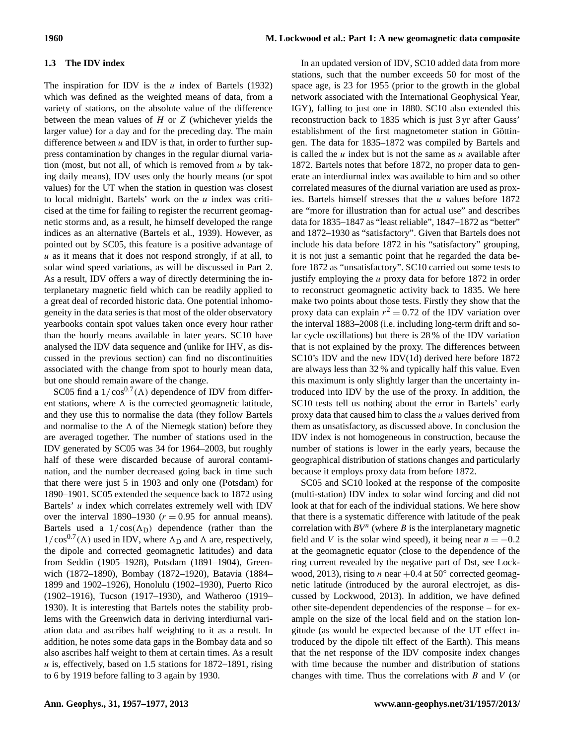## **1.3 The IDV index**

The inspiration for IDV is the  $u$  index of Bartels (1932) which was defined as the weighted means of data, from a variety of stations, on the absolute value of the difference between the mean values of  $H$  or  $Z$  (whichever yields the larger value) for a day and for the preceding day. The main difference between  $u$  and IDV is that, in order to further suppress contamination by changes in the regular diurnal variation (most, but not all, of which is removed from  $u$  by taking daily means), IDV uses only the hourly means (or spot values) for the UT when the station in question was closest to local midnight. Bartels' work on the  $u$  index was criticised at the time for failing to register the recurrent geomagnetic storms and, as a result, he himself developed the range indices as an alternative (Bartels et al., 1939). However, as pointed out by SC05, this feature is a positive advantage of  $u$  as it means that it does not respond strongly, if at all, to solar wind speed variations, as will be discussed in Part 2. As a result, IDV offers a way of directly determining the interplanetary magnetic field which can be readily applied to a great deal of recorded historic data. One potential inhomogeneity in the data series is that most of the older observatory yearbooks contain spot values taken once every hour rather than the hourly means available in later years. SC10 have analysed the IDV data sequence and (unlike for IHV, as discussed in the previous section) can find no discontinuities associated with the change from spot to hourly mean data, but one should remain aware of the change.

SC05 find a  $1/\cos^{0.7}(\Lambda)$  dependence of IDV from different stations, where  $\Lambda$  is the corrected geomagnetic latitude, and they use this to normalise the data (they follow Bartels and normalise to the  $\Lambda$  of the Niemegk station) before they are averaged together. The number of stations used in the IDV generated by SC05 was 34 for 1964–2003, but roughly half of these were discarded because of auroral contamination, and the number decreased going back in time such that there were just 5 in 1903 and only one (Potsdam) for 1890–1901. SC05 extended the sequence back to 1872 using Bartels' u index which correlates extremely well with IDV over the interval 1890–1930 ( $r = 0.95$  for annual means). Bartels used a  $1/\cos(\Lambda_D)$  dependence (rather than the  $1/\cos^{0.7}(\Lambda)$  used in IDV, where  $\Lambda_D$  and  $\Lambda$  are, respectively, the dipole and corrected geomagnetic latitudes) and data from Seddin (1905–1928), Potsdam (1891–1904), Greenwich (1872–1890), Bombay (1872–1920), Batavia (1884– 1899 and 1902–1926), Honolulu (1902–1930), Puerto Rico (1902–1916), Tucson (1917–1930), and Watheroo (1919– 1930). It is interesting that Bartels notes the stability problems with the Greenwich data in deriving interdiurnal variation data and ascribes half weighting to it as a result. In addition, he notes some data gaps in the Bombay data and so also ascribes half weight to them at certain times. As a result  $u$  is, effectively, based on 1.5 stations for 1872–1891, rising to 6 by 1919 before falling to 3 again by 1930.

In an updated version of IDV, SC10 added data from more stations, such that the number exceeds 50 for most of the space age, is 23 for 1955 (prior to the growth in the global network associated with the International Geophysical Year, IGY), falling to just one in 1880. SC10 also extended this reconstruction back to 1835 which is just 3 yr after Gauss' establishment of the first magnetometer station in Göttingen. The data for 1835–1872 was compiled by Bartels and is called the  $u$  index but is not the same as  $u$  available after 1872. Bartels notes that before 1872, no proper data to generate an interdiurnal index was available to him and so other correlated measures of the diurnal variation are used as proxies. Bartels himself stresses that the u values before 1872 are "more for illustration than for actual use" and describes data for 1835–1847 as "least reliable", 1847–1872 as "better" and 1872–1930 as "satisfactory". Given that Bartels does not include his data before 1872 in his "satisfactory" grouping, it is not just a semantic point that he regarded the data before 1872 as "unsatisfactory". SC10 carried out some tests to justify employing the  $u$  proxy data for before 1872 in order to reconstruct geomagnetic activity back to 1835. We here make two points about those tests. Firstly they show that the proxy data can explain  $r^2 = 0.72$  of the IDV variation over the interval 1883–2008 (i.e. including long-term drift and solar cycle oscillations) but there is 28 % of the IDV variation that is not explained by the proxy. The differences between SC10's IDV and the new IDV(1d) derived here before 1872 are always less than 32 % and typically half this value. Even this maximum is only slightly larger than the uncertainty introduced into IDV by the use of the proxy. In addition, the SC10 tests tell us nothing about the error in Bartels' early proxy data that caused him to class the u values derived from them as unsatisfactory, as discussed above. In conclusion the IDV index is not homogeneous in construction, because the number of stations is lower in the early years, because the geographical distribution of stations changes and particularly because it employs proxy data from before 1872.

SC05 and SC10 looked at the response of the composite (multi-station) IDV index to solar wind forcing and did not look at that for each of the individual stations. We here show that there is a systematic difference with latitude of the peak correlation with  $BV^n$  (where  $B$  is the interplanetary magnetic field and V is the solar wind speed), it being near  $n = -0.2$ at the geomagnetic equator (close to the dependence of the ring current revealed by the negative part of Dst, see Lockwood, 2013), rising to *n* near  $+0.4$  at 50 $^{\circ}$  corrected geomagnetic latitude (introduced by the auroral electrojet, as discussed by Lockwood, 2013). In addition, we have defined other site-dependent dependencies of the response – for example on the size of the local field and on the station longitude (as would be expected because of the UT effect introduced by the dipole tilt effect of the Earth). This means that the net response of the IDV composite index changes with time because the number and distribution of stations changes with time. Thus the correlations with  $B$  and  $V$  (or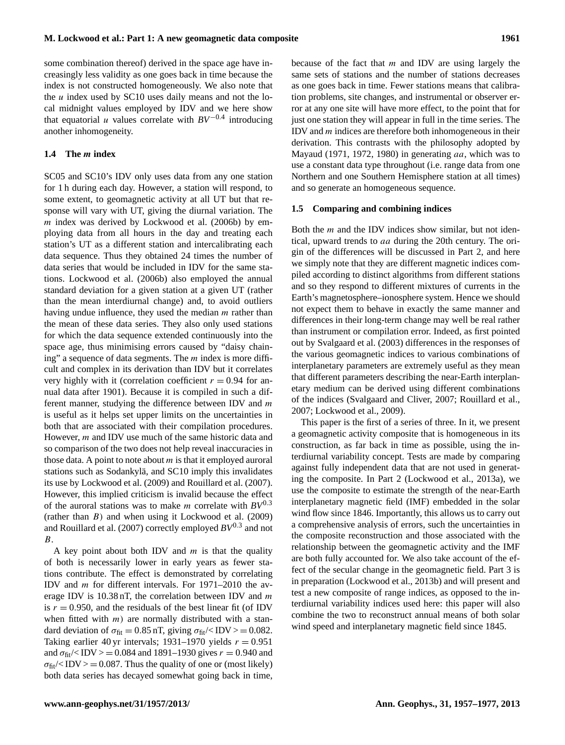some combination thereof) derived in the space age have increasingly less validity as one goes back in time because the index is not constructed homogeneously. We also note that the  $u$  index used by SC10 uses daily means and not the local midnight values employed by IDV and we here show that equatorial u values correlate with  $BV^{-0.4}$  introducing another inhomogeneity.

## **1.4 The** m **index**

SC05 and SC10's IDV only uses data from any one station for 1 h during each day. However, a station will respond, to some extent, to geomagnetic activity at all UT but that response will vary with UT, giving the diurnal variation. The  $m$  index was derived by Lockwood et al. (2006b) by employing data from all hours in the day and treating each station's UT as a different station and intercalibrating each data sequence. Thus they obtained 24 times the number of data series that would be included in IDV for the same stations. Lockwood et al. (2006b) also employed the annual standard deviation for a given station at a given UT (rather than the mean interdiurnal change) and, to avoid outliers having undue influence, they used the median  $m$  rather than the mean of these data series. They also only used stations for which the data sequence extended continuously into the space age, thus minimising errors caused by "daisy chaining" a sequence of data segments. The  $m$  index is more difficult and complex in its derivation than IDV but it correlates very highly with it (correlation coefficient  $r = 0.94$  for annual data after 1901). Because it is compiled in such a different manner, studying the difference between IDV and m is useful as it helps set upper limits on the uncertainties in both that are associated with their compilation procedures. However, m and IDV use much of the same historic data and so comparison of the two does not help reveal inaccuracies in those data. A point to note about  $m$  is that it employed auroral stations such as Sodankylä, and SC10 imply this invalidates its use by Lockwood et al. (2009) and Rouillard et al. (2007). However, this implied criticism is invalid because the effect of the auroral stations was to make  $m$  correlate with  $BV^{0.3}$ (rather than  $B$ ) and when using it Lockwood et al. (2009) and Rouillard et al. (2007) correctly employed *BV*0.<sup>3</sup> and not B.

A key point about both IDV and  $m$  is that the quality of both is necessarily lower in early years as fewer stations contribute. The effect is demonstrated by correlating IDV and m for different intervals. For 1971–2010 the average IDV is  $10.38$  nT, the correlation between IDV and m is  $r = 0.950$ , and the residuals of the best linear fit (of IDV when fitted with  $m$ ) are normally distributed with a standard deviation of  $\sigma_{\text{fit}} = 0.85$  nT, giving  $\sigma_{\text{fit}} / \langle \text{IDV} \rangle = 0.082$ . Taking earlier 40 yr intervals; 1931–1970 yields  $r = 0.951$ and  $\sigma_{\text{fit}}$ /<IDV > = 0.084 and 1891–1930 gives  $r = 0.940$  and  $\sigma_{\text{fit}}$ /<IDV > = 0.087. Thus the quality of one or (most likely) both data series has decayed somewhat going back in time, because of the fact that  $m$  and IDV are using largely the same sets of stations and the number of stations decreases as one goes back in time. Fewer stations means that calibration problems, site changes, and instrumental or observer error at any one site will have more effect, to the point that for just one station they will appear in full in the time series. The IDV and  $m$  indices are therefore both inhomogeneous in their derivation. This contrasts with the philosophy adopted by Mayaud (1971, 1972, 1980) in generating aa, which was to use a constant data type throughout (i.e. range data from one Northern and one Southern Hemisphere station at all times) and so generate an homogeneous sequence.

## **1.5 Comparing and combining indices**

Both the m and the IDV indices show similar, but not identical, upward trends to aa during the 20th century. The origin of the differences will be discussed in Part 2, and here we simply note that they are different magnetic indices compiled according to distinct algorithms from different stations and so they respond to different mixtures of currents in the Earth's magnetosphere–ionosphere system. Hence we should not expect them to behave in exactly the same manner and differences in their long-term change may well be real rather than instrument or compilation error. Indeed, as first pointed out by Svalgaard et al. (2003) differences in the responses of the various geomagnetic indices to various combinations of interplanetary parameters are extremely useful as they mean that different parameters describing the near-Earth interplanetary medium can be derived using different combinations of the indices (Svalgaard and Cliver, 2007; Rouillard et al., 2007; Lockwood et al., 2009).

This paper is the first of a series of three. In it, we present a geomagnetic activity composite that is homogeneous in its construction, as far back in time as possible, using the interdiurnal variability concept. Tests are made by comparing against fully independent data that are not used in generating the composite. In Part 2 (Lockwood et al., 2013a), we use the composite to estimate the strength of the near-Earth interplanetary magnetic field (IMF) embedded in the solar wind flow since 1846. Importantly, this allows us to carry out a comprehensive analysis of errors, such the uncertainties in the composite reconstruction and those associated with the relationship between the geomagnetic activity and the IMF are both fully accounted for. We also take account of the effect of the secular change in the geomagnetic field. Part 3 is in preparation (Lockwood et al., 2013b) and will present and test a new composite of range indices, as opposed to the interdiurnal variability indices used here: this paper will also combine the two to reconstruct annual means of both solar wind speed and interplanetary magnetic field since 1845.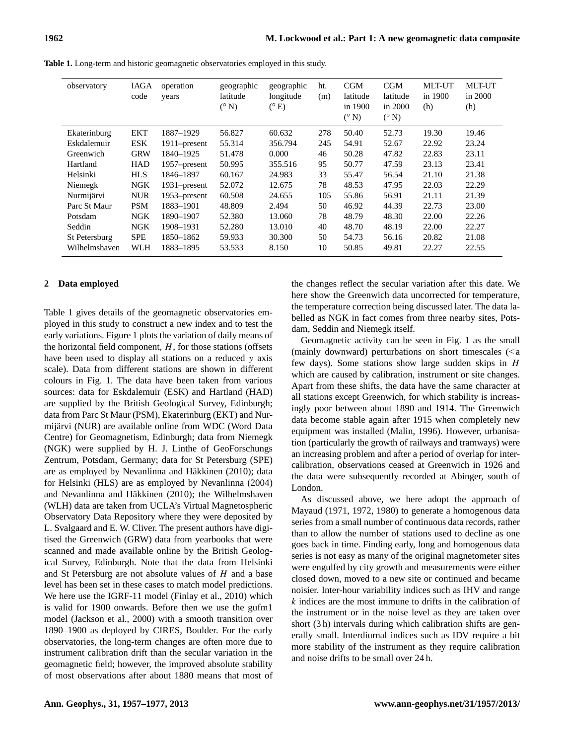| observatory   | <b>IAGA</b><br>code | operation<br>years | geographic<br>latitude<br>$(^{\circ}N)$ | geographic<br>longitude<br>$(^{\circ}E)$ | ht.<br>(m) | CGM<br>latitude<br>in 1900<br>$(^{\circ}N)$ | CGM<br>latitude<br>in 2000<br>$(^{\circ}N)$ | <b>MLT-UT</b><br>in 1900<br>(h) | <b>MLT-UT</b><br>in 2000<br>(h) |
|---------------|---------------------|--------------------|-----------------------------------------|------------------------------------------|------------|---------------------------------------------|---------------------------------------------|---------------------------------|---------------------------------|
| Ekaterinburg  | <b>EKT</b>          | 1887-1929          | 56.827                                  | 60.632                                   | 278        | 50.40                                       | 52.73                                       | 19.30                           | 19.46                           |
| Eskdalemuir   | <b>ESK</b>          | 1911–present       | 55.314                                  | 356.794                                  | 245        | 54.91                                       | 52.67                                       | 22.92                           | 23.24                           |
| Greenwich     | <b>GRW</b>          | 1840-1925          | 51.478                                  | 0.000                                    | 46         | 50.28                                       | 47.82                                       | 22.83                           | 23.11                           |
| Hartland      | <b>HAD</b>          | 1957–present       | 50.995                                  | 355.516                                  | 95         | 50.77                                       | 47.59                                       | 23.13                           | 23.41                           |
| Helsinki      | <b>HLS</b>          | 1846-1897          | 60.167                                  | 24.983                                   | 33         | 55.47                                       | 56.54                                       | 21.10                           | 21.38                           |
| Niemegk       | <b>NGK</b>          | $1931$ -present    | 52.072                                  | 12.675                                   | 78         | 48.53                                       | 47.95                                       | 22.03                           | 22.29                           |
| Nurmijärvi    | <b>NUR</b>          | 1953–present       | 60.508                                  | 24.655                                   | 105        | 55.86                                       | 56.91                                       | 21.11                           | 21.39                           |
| Parc St Maur  | <b>PSM</b>          | 1883-1901          | 48.809                                  | 2.494                                    | 50         | 46.92                                       | 44.39                                       | 22.73                           | 23.00                           |
| Potsdam       | <b>NGK</b>          | 1890-1907          | 52.380                                  | 13.060                                   | 78         | 48.79                                       | 48.30                                       | 22.00                           | 22.26                           |
| Seddin        | NGK                 | 1908-1931          | 52.280                                  | 13.010                                   | 40         | 48.70                                       | 48.19                                       | 22.00                           | 22.27                           |
| St Petersburg | <b>SPE</b>          | 1850-1862          | 59.933                                  | 30.300                                   | 50         | 54.73                                       | 56.16                                       | 20.82                           | 21.08                           |
| Wilhelmshaven | <b>WLH</b>          | 1883-1895          | 53.533                                  | 8.150                                    | 10         | 50.85                                       | 49.81                                       | 22.27                           | 22.55                           |

**Table 1.** Long-term and historic geomagnetic observatories employed in this study.

## **2 Data employed**

Table 1 gives details of the geomagnetic observatories employed in this study to construct a new index and to test the early variations. Figure 1 plots the variation of daily means of the horizontal field component,  $H$ , for those stations (offsets have been used to display all stations on a reduced y axis scale). Data from different stations are shown in different colours in Fig. 1. The data have been taken from various sources: data for Eskdalemuir (ESK) and Hartland (HAD) are supplied by the British Geological Survey, Edinburgh; data from Parc St Maur (PSM), Ekaterinburg (EKT) and Nurmijärvi (NUR) are available online from WDC (Word Data Centre) for Geomagnetism, Edinburgh; data from Niemegk (NGK) were supplied by H. J. Linthe of GeoForschungs Zentrum, Potsdam, Germany; data for St Petersburg (SPE) are as employed by Nevanlinna and Häkkinen (2010); data for Helsinki (HLS) are as employed by Nevanlinna (2004) and Nevanlinna and Häkkinen (2010); the Wilhelmshaven (WLH) data are taken from UCLA's Virtual Magnetospheric Observatory Data Repository where they were deposited by L. Svalgaard and E. W. Cliver. The present authors have digitised the Greenwich (GRW) data from yearbooks that were scanned and made available online by the British Geological Survey, Edinburgh. Note that the data from Helsinki and St Petersburg are not absolute values of  $H$  and a base level has been set in these cases to match model predictions. We here use the IGRF-11 model (Finlay et al., 2010) which is valid for 1900 onwards. Before then we use the gufm1 model (Jackson et al., 2000) with a smooth transition over 1890–1900 as deployed by CIRES, Boulder. For the early observatories, the long-term changes are often more due to instrument calibration drift than the secular variation in the geomagnetic field; however, the improved absolute stability of most observations after about 1880 means that most of the changes reflect the secular variation after this date. We here show the Greenwich data uncorrected for temperature, the temperature correction being discussed later. The data labelled as NGK in fact comes from three nearby sites, Potsdam, Seddin and Niemegk itself.

Geomagnetic activity can be seen in Fig. 1 as the small (mainly downward) perturbations on short timescales (< a few days). Some stations show large sudden skips in  $H$ which are caused by calibration, instrument or site changes. Apart from these shifts, the data have the same character at all stations except Greenwich, for which stability is increasingly poor between about 1890 and 1914. The Greenwich data become stable again after 1915 when completely new equipment was installed (Malin, 1996). However, urbanisation (particularly the growth of railways and tramways) were an increasing problem and after a period of overlap for intercalibration, observations ceased at Greenwich in 1926 and the data were subsequently recorded at Abinger, south of London.

As discussed above, we here adopt the approach of Mayaud (1971, 1972, 1980) to generate a homogenous data series from a small number of continuous data records, rather than to allow the number of stations used to decline as one goes back in time. Finding early, long and homogenous data series is not easy as many of the original magnetometer sites were engulfed by city growth and measurements were either closed down, moved to a new site or continued and became noisier. Inter-hour variability indices such as IHV and range k indices are the most immune to drifts in the calibration of the instrument or in the noise level as they are taken over short (3 h) intervals during which calibration shifts are generally small. Interdiurnal indices such as IDV require a bit more stability of the instrument as they require calibration and noise drifts to be small over 24 h.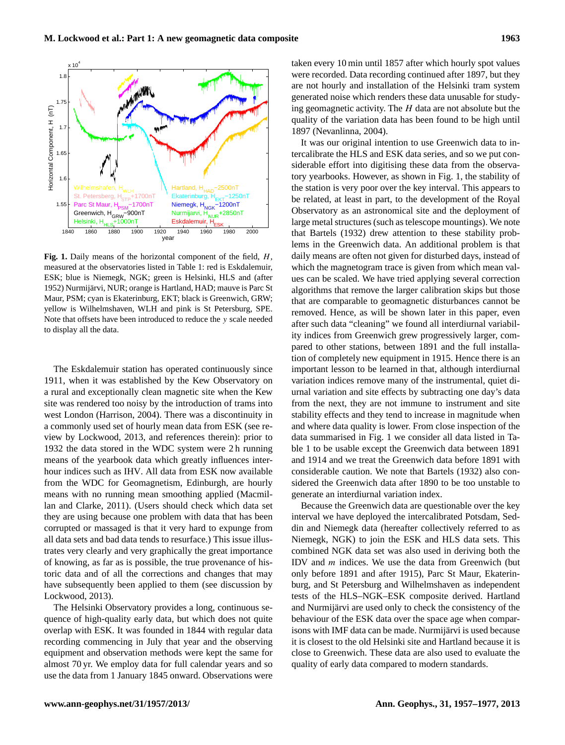

**Fig. 1.** Daily means of the horizontal component of the field, H, measured at the observatories listed in Table 1: red is Eskdalemuir, ESK; blue is Niemegk, NGK; green is Helsinki, HLS and (after 1952) Nurmijärvi, NUR; orange is Hartland, HAD; mauve is Parc St Maur, PSM; cyan is Ekaterinburg, EKT; black is Greenwich, GRW; yellow is Wilhelmshaven, WLH and pink is St Petersburg, SPE. Note that offsets have been introduced to reduce the y scale needed to display all the data.

The Eskdalemuir station has operated continuously since 1911, when it was established by the Kew Observatory on a rural and exceptionally clean magnetic site when the Kew site was rendered too noisy by the introduction of trams into west London (Harrison, 2004). There was a discontinuity in a commonly used set of hourly mean data from ESK (see review by Lockwood, 2013, and references therein): prior to 1932 the data stored in the WDC system were 2 h running means of the yearbook data which greatly influences interhour indices such as IHV. All data from ESK now available from the WDC for Geomagnetism, Edinburgh, are hourly means with no running mean smoothing applied (Macmillan and Clarke, 2011). (Users should check which data set they are using because one problem with data that has been corrupted or massaged is that it very hard to expunge from all data sets and bad data tends to resurface.) This issue illustrates very clearly and very graphically the great importance of knowing, as far as is possible, the true provenance of historic data and of all the corrections and changes that may have subsequently been applied to them (see discussion by Lockwood, 2013).

The Helsinki Observatory provides a long, continuous sequence of high-quality early data, but which does not quite overlap with ESK. It was founded in 1844 with regular data recording commencing in July that year and the observing equipment and observation methods were kept the same for almost 70 yr. We employ data for full calendar years and so use the data from 1 January 1845 onward. Observations were taken every 10 min until 1857 after which hourly spot values were recorded. Data recording continued after 1897, but they are not hourly and installation of the Helsinki tram system generated noise which renders these data unusable for studying geomagnetic activity. The  $H$  data are not absolute but the quality of the variation data has been found to be high until 1897 (Nevanlinna, 2004).

It was our original intention to use Greenwich data to intercalibrate the HLS and ESK data series, and so we put considerable effort into digitising these data from the observatory yearbooks. However, as shown in Fig. 1, the stability of the station is very poor over the key interval. This appears to be related, at least in part, to the development of the Royal Observatory as an astronomical site and the deployment of large metal structures (such as telescope mountings). We note that Bartels (1932) drew attention to these stability problems in the Greenwich data. An additional problem is that daily means are often not given for disturbed days, instead of which the magnetogram trace is given from which mean values can be scaled. We have tried applying several correction algorithms that remove the larger calibration skips but those that are comparable to geomagnetic disturbances cannot be removed. Hence, as will be shown later in this paper, even after such data "cleaning" we found all interdiurnal variability indices from Greenwich grew progressively larger, compared to other stations, between 1891 and the full installation of completely new equipment in 1915. Hence there is an important lesson to be learned in that, although interdiurnal variation indices remove many of the instrumental, quiet diurnal variation and site effects by subtracting one day's data from the next, they are not immune to instrument and site stability effects and they tend to increase in magnitude when and where data quality is lower. From close inspection of the data summarised in Fig. 1 we consider all data listed in Table 1 to be usable except the Greenwich data between 1891 and 1914 and we treat the Greenwich data before 1891 with considerable caution. We note that Bartels (1932) also considered the Greenwich data after 1890 to be too unstable to generate an interdiurnal variation index.

Because the Greenwich data are questionable over the key interval we have deployed the intercalibrated Potsdam, Seddin and Niemegk data (hereafter collectively referred to as Niemegk, NGK) to join the ESK and HLS data sets. This combined NGK data set was also used in deriving both the IDV and  $m$  indices. We use the data from Greenwich (but only before 1891 and after 1915), Parc St Maur, Ekaterinburg, and St Petersburg and Wilhelmshaven as independent tests of the HLS–NGK–ESK composite derived. Hartland and Nurmijärvi are used only to check the consistency of the behaviour of the ESK data over the space age when comparisons with IMF data can be made. Nurmijärvi is used because it is closest to the old Helsinki site and Hartland because it is close to Greenwich. These data are also used to evaluate the quality of early data compared to modern standards.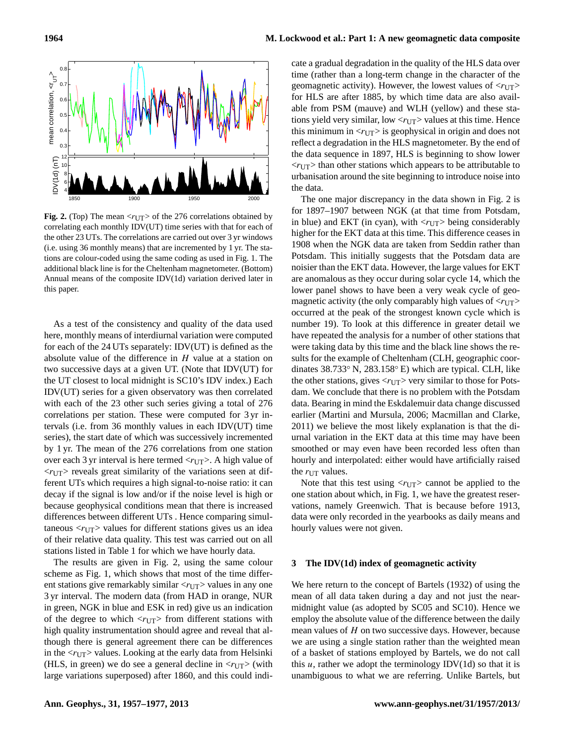

**Fig. 2.** (Top) The mean  $\langle r_{UT} \rangle$  of the 276 correlations obtained by correlating each monthly IDV(UT) time series with that for each of the other 23 UTs. The correlations are carried out over 3 yr windows (i.e. using 36 monthly means) that are incremented by 1 yr. The stations are colour-coded using the same coding as used in Fig. 1. The additional black line is for the Cheltenham magnetometer. (Bottom) Annual means of the composite IDV(1d) variation derived later in this paper.

As a test of the consistency and quality of the data used here, monthly means of interdiurnal variation were computed for each of the 24 UTs separately: IDV(UT) is defined as the absolute value of the difference in  $H$  value at a station on two successive days at a given UT. (Note that IDV(UT) for the UT closest to local midnight is SC10's IDV index.) Each IDV(UT) series for a given observatory was then correlated with each of the 23 other such series giving a total of 276 correlations per station. These were computed for 3 yr intervals (i.e. from 36 monthly values in each IDV(UT) time series), the start date of which was successively incremented by 1 yr. The mean of the 276 correlations from one station over each 3 yr interval is here termed  $\langle r_{UT} \rangle$ . A high value of  $\langle r_{\text{UT}} \rangle$  reveals great similarity of the variations seen at different UTs which requires a high signal-to-noise ratio: it can decay if the signal is low and/or if the noise level is high or because geophysical conditions mean that there is increased differences between different UTs . Hence comparing simultaneous  $\langle r_{\text{UT}} \rangle$  values for different stations gives us an idea of their relative data quality. This test was carried out on all stations listed in Table 1 for which we have hourly data.

The results are given in Fig. 2, using the same colour scheme as Fig. 1, which shows that most of the time different stations give remarkably similar  $\langle r_{\text{UT}} \rangle$  values in any one 3 yr interval. The modern data (from HAD in orange, NUR in green, NGK in blue and ESK in red) give us an indication of the degree to which  $\langle r_{\text{UT}} \rangle$  from different stations with high quality instrumentation should agree and reveal that although there is general agreement there can be differences in the  $\langle r_{\text{UT}} \rangle$  values. Looking at the early data from Helsinki (HLS, in green) we do see a general decline in  $\langle r_{UT} \rangle$  (with large variations superposed) after 1860, and this could indicate a gradual degradation in the quality of the HLS data over time (rather than a long-term change in the character of the geomagnetic activity). However, the lowest values of  $\langle r_{\text{UT}} \rangle$ for HLS are after 1885, by which time data are also available from PSM (mauve) and WLH (yellow) and these stations yield very similar, low  $\langle r_{UT} \rangle$  values at this time. Hence this minimum in  $\langle r_{UT} \rangle$  is geophysical in origin and does not reflect a degradation in the HLS magnetometer. By the end of the data sequence in 1897, HLS is beginning to show lower  $\langle r_{UT} \rangle$  than other stations which appears to be attributable to urbanisation around the site beginning to introduce noise into the data.

The one major discrepancy in the data shown in Fig. 2 is for 1897–1907 between NGK (at that time from Potsdam, in blue) and EKT (in cyan), with  $\langle r_{UT} \rangle$  being considerably higher for the EKT data at this time. This difference ceases in 1908 when the NGK data are taken from Seddin rather than Potsdam. This initially suggests that the Potsdam data are noisier than the EKT data. However, the large values for EKT are anomalous as they occur during solar cycle 14, which the lower panel shows to have been a very weak cycle of geomagnetic activity (the only comparably high values of  $\langle r_{UT} \rangle$ occurred at the peak of the strongest known cycle which is number 19). To look at this difference in greater detail we have repeated the analysis for a number of other stations that were taking data by this time and the black line shows the results for the example of Cheltenham (CLH, geographic coordinates 38.733◦ N, 283.158◦ E) which are typical. CLH, like the other stations, gives  $\langle r_{\text{UT}} \rangle$  very similar to those for Potsdam. We conclude that there is no problem with the Potsdam data. Bearing in mind the Eskdalemuir data change discussed earlier (Martini and Mursula, 2006; Macmillan and Clarke, 2011) we believe the most likely explanation is that the diurnal variation in the EKT data at this time may have been smoothed or may even have been recorded less often than hourly and interpolated: either would have artificially raised the  $r_{UT}$  values.

Note that this test using  $\langle r_{\text{UT}} \rangle$  cannot be applied to the one station about which, in Fig. 1, we have the greatest reservations, namely Greenwich. That is because before 1913, data were only recorded in the yearbooks as daily means and hourly values were not given.

## **3 The IDV(1d) index of geomagnetic activity**

We here return to the concept of Bartels (1932) of using the mean of all data taken during a day and not just the nearmidnight value (as adopted by SC05 and SC10). Hence we employ the absolute value of the difference between the daily mean values of H on two successive days. However, because we are using a single station rather than the weighted mean of a basket of stations employed by Bartels, we do not call this  $u$ , rather we adopt the terminology IDV(1d) so that it is unambiguous to what we are referring. Unlike Bartels, but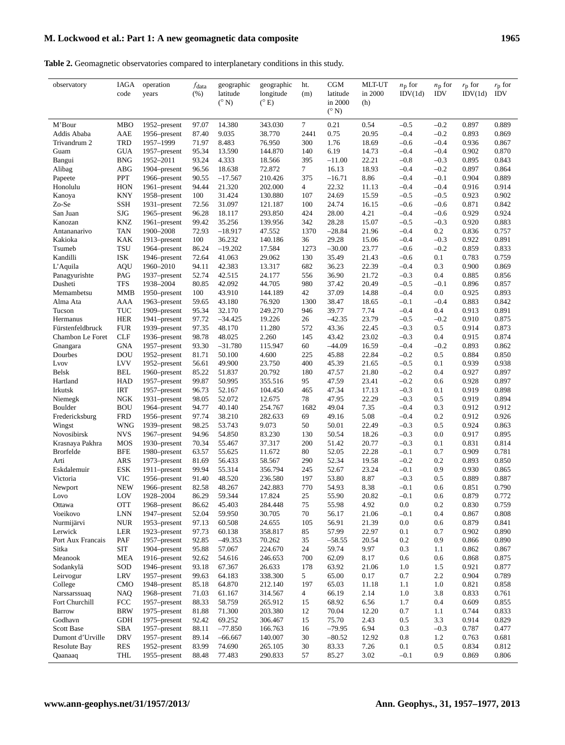# M. Lockwood et al.: Part 1: A new geomagnetic data composite 1965

**Table 2.** Geomagnetic observatories compared to interplanetary conditions in this study.

| observatory                     | IAGA<br>code             | operation<br>years           | $f_{\rm data}$<br>(%) | geographic<br>latitude<br>$(^{\circ}N)$ | geographic<br>longitude<br>$(^{\circ}E)$ | ht.<br>(m)      | CGM<br>latitude<br>in 2000 | <b>MLT-UT</b><br>in 2000<br>(h) | $n_{\rm p}$ for<br>IDV(1d) | $n_{\rm p}$ for<br><b>IDV</b> | $r_{\rm p}$ for<br>IDV(1d) | $r_{\rm p}$ for<br><b>IDV</b> |
|---------------------------------|--------------------------|------------------------------|-----------------------|-----------------------------------------|------------------------------------------|-----------------|----------------------------|---------------------------------|----------------------------|-------------------------------|----------------------------|-------------------------------|
|                                 |                          |                              |                       |                                         |                                          |                 | $(^{\circ}N)$              |                                 |                            |                               |                            |                               |
| M'Bour                          | <b>MBO</b>               | 1952–present                 | 97.07                 | 14.380                                  | 343.030                                  | 7               | 0.21                       | 0.54                            | $-0.5$                     | $-0.2$                        | 0.897                      | 0.889                         |
| Addis Ababa                     | AAE                      | 1956–present                 | 87.40                 | 9.035                                   | 38.770                                   | 2441            | 0.75                       | 20.95                           | $-0.4$                     | $-0.2$                        | 0.893                      | 0.869                         |
| Trivandrum 2                    | <b>TRD</b>               | 1957-1999                    | 71.97                 | 8.483                                   | 76.950                                   | 300             | 1.76                       | 18.69                           | $-0.6$                     | $-0.4$                        | 0.936                      | 0.867                         |
| Guam                            | <b>GUA</b>               | 1957–present                 | 95.34                 | 13.590                                  | 144.870                                  | 140             | 6.19                       | 14.73                           | $-0.4$                     | $-0.4$                        | 0.902                      | 0.870                         |
| Bangui                          | <b>BNG</b>               | 1952-2011                    | 93.24                 | 4.333                                   | 18.566                                   | 395             | $-11.00$                   | 22.21                           | $-0.8$                     | $-0.3$                        | 0.895                      | 0.843                         |
| Alibag                          | <b>ABG</b>               | 1904–present                 | 96.56                 | 18.638                                  | 72.872                                   | $7\phantom{.0}$ | 16.13                      | 18.93                           | $-0.4$                     | $-0.2$                        | 0.897                      | 0.864                         |
| Papeete                         | PPT                      | 1966–present                 | 90.55                 | $-17.567$                               | 210.426                                  | 375             | $-16.71$                   | 8.86                            | $-0.4$                     | $-0.1$                        | 0.904                      | 0.889                         |
| Honolulu                        | <b>HON</b>               | 1961–present                 | 94.44                 | 21.320                                  | 202.000                                  | $\overline{4}$  | 22.32                      | 11.13                           | $-0.4$                     | $-0.4$                        | 0.916                      | 0.914                         |
| Kanoya                          | <b>KNY</b><br><b>SSH</b> | 1958–present                 | 100                   | 31.424                                  | 130.880                                  | 107             | 24.69                      | 15.59                           | $-0.5$                     | $-0.5$                        | 0.923                      | 0.902                         |
| Zo-Se<br>San Juan               | SJG                      | 1931-present<br>1965–present | 72.56<br>96.28        | 31.097<br>18.117                        | 121.187<br>293.850                       | 100<br>424      | 24.74<br>28.00             | 16.15<br>4.21                   | $-0.6$<br>$-0.4$           | $-0.6$<br>$-0.6$              | 0.871<br>0.929             | 0.842<br>0.924                |
| Kanozan                         | <b>KNZ</b>               | 1961–present                 | 99.42                 | 35.256                                  | 139.956                                  | 342             | 28.28                      | 15.07                           | $-0.5$                     | $-0.3$                        | 0.920                      | 0.883                         |
| Antananarivo                    | <b>TAN</b>               | 1900-2008                    | 72.93                 | $-18.917$                               | 47.552                                   | 1370            | $-28.84$                   | 21.96                           | $-0.4$                     | 0.2                           | 0.836                      | 0.757                         |
| Kakioka                         | <b>KAK</b>               | 1913–present                 | 100                   | 36.232                                  | 140.186                                  | 36              | 29.28                      | 15.06                           | $-0.4$                     | $-0.3$                        | 0.922                      | 0.891                         |
| Tsumeb                          | TSU                      | 1964–present                 | 86.24                 | $-19.202$                               | 17.584                                   | 1273            | $-30.00$                   | 23.77                           | $-0.6$                     | $-0.2$                        | 0.859                      | 0.833                         |
| Kandilli                        | <b>ISK</b>               | 1946–present                 | 72.64                 | 41.063                                  | 29.062                                   | 130             | 35.49                      | 21.43                           | $-0.6$                     | 0.1                           | 0.783                      | 0.759                         |
| L'Aquila                        | <b>AQU</b>               | 1960-2010                    | 94.11                 | 42.383                                  | 13.317                                   | 682             | 36.23                      | 22.39                           | $-0.4$                     | 0.3                           | 0.900                      | 0.869                         |
| Panagyurishte                   | PAG                      | 1937–present                 | 52.74                 | 42.515                                  | 24.177                                   | 556             | 36.90                      | 21.72                           | $-0.3$                     | 0.4                           | 0.885                      | 0.856                         |
| Dusheti                         | <b>TFS</b>               | 1938-2004                    | 80.85                 | 42.092                                  | 44.705                                   | 980             | 37.42                      | 20.49                           | $-0.5$                     | $-0.1$                        | 0.896                      | 0.857                         |
| Memambetsu                      | <b>MMB</b>               | 1950–present                 | 100                   | 43.910                                  | 144.189                                  | 42              | 37.09                      | 14.88                           | $-0.4$                     | 0.0                           | 0.925                      | 0.893                         |
| Alma Ata                        | AAA                      | 1963–present                 | 59.65                 | 43.180                                  | 76.920                                   | 1300            | 38.47                      | 18.65                           | $-0.1$                     | $-0.4$                        | 0.883                      | 0.842                         |
| Tucson                          | TUC                      | 1909-present                 | 95.34                 | 32.170                                  | 249.270                                  | 946             | 39.77                      | 7.74                            | $-0.4$                     | 0.4                           | 0.913                      | 0.891                         |
| Hermanus                        | <b>HER</b>               | 1941–present                 | 97.72                 | $-34.425$                               | 19.226                                   | 26              | $-42.35$                   | 23.79                           | $-0.5$                     | $-0.2$                        | 0.910                      | 0.875                         |
| Fürstenfeldbruck                | <b>FUR</b>               | 1939–present                 | 97.35                 | 48.170                                  | 11.280                                   | 572             | 43.36                      | 22.45                           | $-0.3$                     | 0.5                           | 0.914                      | 0.873                         |
| Chambon Le Foret                | <b>CLF</b>               | 1936–present                 | 98.78                 | 48.025                                  | 2.260                                    | 145             | 43.42                      | 23.02                           | $-0.3$                     | 0.4                           | 0.915                      | 0.874                         |
| Gnangara                        | <b>GNA</b>               | 1957–present                 | 93.30                 | $-31.780$                               | 115.947                                  | 60              | $-44.09$                   | 16.59                           | $-0.4$                     | $-0.2$                        | 0.893                      | 0.862                         |
| Dourbes                         | DOU                      | 1952-present                 | 81.71                 | 50.100                                  | 4.600                                    | 225             | 45.88                      | 22.84                           | $-0.2$                     | 0.5                           | 0.884                      | 0.850                         |
| Lvov                            | <b>LVV</b>               | 1952–present                 | 56.61                 | 49.900                                  | 23.750                                   | 400             | 45.39                      | 21.65                           | $-0.5$                     | 0.1                           | 0.939                      | 0.938                         |
| Belsk                           | <b>BEL</b>               | 1960-present                 | 85.22                 | 51.837                                  | 20.792                                   | 180             | 47.57                      | 21.80                           | $-0.2$                     | 0.4                           | 0.927                      | 0.897                         |
| Hartland                        | <b>HAD</b>               | 1957–present                 | 99.87                 | 50.995                                  | 355.516                                  | 95              | 47.59                      | 23.41                           | $-0.2$                     | 0.6                           | 0.928                      | 0.897                         |
| Irkutsk                         | <b>IRT</b>               | 1957–present                 | 96.73                 | 52.167                                  | 104.450                                  | 465             | 47.34                      | 17.13                           | $-0.3$                     | 0.1                           | 0.919                      | 0.898                         |
| Niemegk<br>Boulder              | NGK<br><b>BOU</b>        | 1931–present                 | 98.05<br>94.77        | 52.072<br>40.140                        | 12.675<br>254.767                        | 78<br>1682      | 47.95<br>49.04             | 22.29<br>7.35                   | $-0.3$<br>$-0.4$           | 0.5<br>0.3                    | 0.919<br>0.912             | 0.894<br>0.912                |
| Fredericksburg                  | <b>FRD</b>               | 1964–present<br>1956–present | 97.74                 | 38.210                                  | 282.633                                  | 69              | 49.16                      | 5.08                            | $-0.4$                     | 0.2                           | 0.912                      | 0.926                         |
| Wingst                          | <b>WNG</b>               | 1939-present                 | 98.25                 | 53.743                                  | 9.073                                    | 50              | 50.01                      | 22.49                           | $-0.3$                     | 0.5                           | 0.924                      | 0.863                         |
| Novosibirsk                     | <b>NVS</b>               | 1967–present                 | 94.96                 | 54.850                                  | 83.230                                   | 130             | 50.54                      | 18.26                           | $-0.3$                     | 0.0                           | 0.917                      | 0.895                         |
| Krasnaya Pakhra                 | <b>MOS</b>               | 1930–present                 | 70.34                 | 55.467                                  | 37.317                                   | 200             | 51.42                      | 20.77                           | $-0.3$                     | 0.1                           | 0.831                      | 0.814                         |
| <b>Brorfelde</b>                | <b>BFE</b>               | 1980–present                 | 63.57                 | 55.625                                  | 11.672                                   | 80              | 52.05                      | 22.28                           | $-0.1$                     | 0.7                           | 0.909                      | 0.781                         |
| Arti                            | <b>ARS</b>               | 1973–present                 | 81.69                 | 56.433                                  | 58.567                                   | 290             | 52.34                      | 19.58                           | $-0.2$                     | 0.2                           | 0.893                      | 0.850                         |
| Eskdalemuir                     | <b>ESK</b>               | $1911$ -present              | 99.94                 | 55.314                                  | 356.794                                  | 245             | 52.67                      | 23.24                           | $-0.1$                     | 0.9                           | 0.930                      | 0.865                         |
| Victoria                        | <b>VIC</b>               | 1956–present                 | 91.40                 | 48.520                                  | 236.580                                  | 197             | 53.80                      | 8.87                            | $-0.3$                     | 0.5                           | 0.889                      | 0.887                         |
| Newport                         | <b>NEW</b>               | 1966–present                 | 82.58                 | 48.267                                  | 242.883                                  | 770             | 54.93                      | 8.38                            | $-0.1$                     | 0.6                           | 0.851                      | 0.790                         |
| Lovo                            | LOV                      | 1928-2004                    | 86.29                 | 59.344                                  | 17.824                                   | 25              | 55.90                      | 20.82                           | $-0.1$                     | 0.6                           | 0.879                      | 0.772                         |
| Ottawa                          | <b>OTT</b>               | 1968-present                 | 86.62                 | 45.403                                  | 284.448                                  | $75\,$          | 55.98                      | 4.92                            | $0.0\,$                    | 0.2                           | 0.830                      | 0.759                         |
| Voeikovo                        | <b>LNN</b>               | 1947-present                 | 52.04                 | 59.950                                  | 30.705                                   | 70              | 56.17                      | 21.06                           | $-0.1$                     | 0.4                           | 0.867                      | 0.808                         |
| Nurmijärvi                      | <b>NUR</b>               | 1953–present                 | 97.13                 | 60.508                                  | 24.655                                   | 105             | 56.91                      | 21.39                           | $0.0\,$                    | 0.6                           | 0.879                      | 0.841                         |
| Lerwick                         | LER                      | 1923–present                 | 97.73                 | 60.138                                  | 358.817                                  | 85              | 57.99                      | 22.97                           | 0.1                        | 0.7                           | 0.902                      | 0.890                         |
| Port Aux Francais               | PAF                      | 1957–present                 | 92.85                 | $-49.353$                               | 70.262                                   | 35              | $-58.55$                   | 20.54                           | 0.2                        | 0.9                           | 0.866                      | 0.890                         |
| Sitka                           | SIT                      | 1904–present                 | 95.88                 | 57.067                                  | 224.670                                  | 24              | 59.74                      | 9.97                            | 0.3                        | 1.1                           | 0.862                      | 0.867                         |
| Meanook                         | MEA                      | 1916–present                 | 92.62                 | 54.616                                  | 246.653                                  | 700             | 62.09                      | 8.17                            | 0.6                        | 0.6                           | 0.868                      | 0.875                         |
| Sodankylä                       | SOD                      | 1946–present                 | 93.18                 | 67.367                                  | 26.633                                   | 178             | 63.92                      | 21.06                           | 1.0                        | 1.5                           | 0.921                      | 0.877                         |
| Leirvogur                       | LRV                      | 1957–present                 | 99.63                 | 64.183                                  | 338.300                                  | 5               | 65.00                      | 0.17                            | 0.7                        | 2.2                           | 0.904                      | 0.789                         |
| College                         | <b>CMO</b>               | 1948–present                 | 85.18                 | 64.870                                  | 212.140                                  | 197             | 65.03                      | 11.18                           | 1.1                        | 1.0                           | 0.821                      | 0.858                         |
| Narssarssuaq                    | NAQ                      | 1968–present                 | 71.03                 | 61.167<br>58.759                        | 314.567                                  | 4               | 66.19                      | 2.14                            | 1.0                        | 3.8                           | 0.833                      | 0.761                         |
| Fort Churchill<br><b>Barrow</b> | FCC<br><b>BRW</b>        | 1957–present<br>1975–present | 88.33<br>81.88        | 71.300                                  | 265.912<br>203.380                       | 15<br>12        | 68.92<br>70.04             | 6.56<br>12.20                   | 1.7<br>0.7                 | 0.4<br>1.1                    | 0.609<br>0.744             | 0.855<br>0.833                |
| Godhavn                         | <b>GDH</b>               | 1975–present                 | 92.42                 | 69.252                                  | 306.467                                  | 15              | 75.70                      | 2.43                            | 0.5                        | 3.3                           | 0.914                      | 0.829                         |
| <b>Scott Base</b>               | <b>SBA</b>               | 1957–present                 | 88.11                 | $-77.850$                               | 166.763                                  | 16              | $-79.95$                   | 6.94                            | 0.3                        | $-0.3$                        | 0.787                      | 0.477                         |
| Dumont d'Urville                | <b>DRV</b>               | 1957–present                 | 89.14                 | $-66.667$                               | 140.007                                  | 30              | $-80.52$                   | 12.92                           | 0.8                        | 1.2                           | 0.763                      | 0.681                         |
| Resolute Bay                    | <b>RES</b>               | 1952–present                 | 83.99                 | 74.690                                  | 265.105                                  | 30              | 83.33                      | 7.26                            | 0.1                        | 0.5                           | 0.834                      | 0.812                         |
| Qaanaaq                         | THL                      | 1955–present                 | 88.48                 | 77.483                                  | 290.833                                  | 57              | 85.27                      | 3.02                            | $-0.1$                     | 0.9                           | 0.869                      | 0.806                         |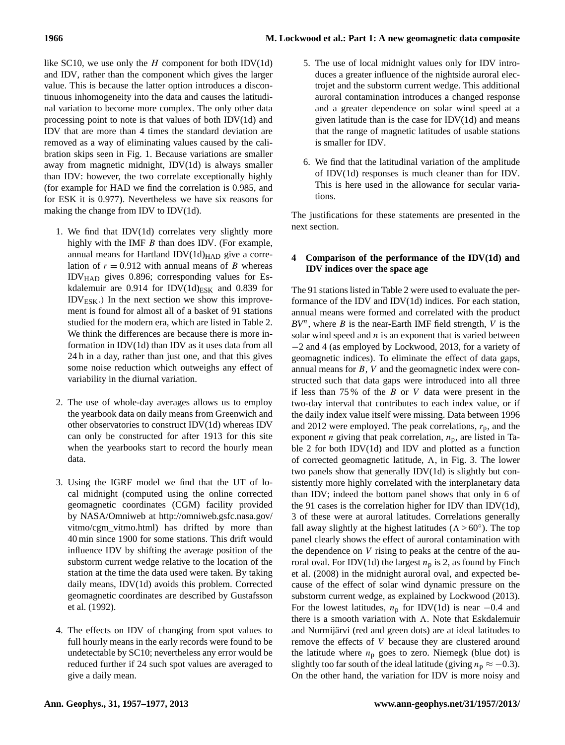## **1966 M. Lockwood et al.: Part 1: A new geomagnetic data composite**

like SC10, we use only the  $H$  component for both IDV(1d) and IDV, rather than the component which gives the larger value. This is because the latter option introduces a discontinuous inhomogeneity into the data and causes the latitudinal variation to become more complex. The only other data processing point to note is that values of both IDV(1d) and IDV that are more than 4 times the standard deviation are removed as a way of eliminating values caused by the calibration skips seen in Fig. 1. Because variations are smaller away from magnetic midnight, IDV(1d) is always smaller than IDV: however, the two correlate exceptionally highly (for example for HAD we find the correlation is 0.985, and for ESK it is 0.977). Nevertheless we have six reasons for making the change from IDV to IDV(1d).

- 1. We find that IDV(1d) correlates very slightly more highly with the IMF  $B$  than does IDV. (For example, annual means for Hartland IDV $(1d)_{HAD}$  give a correlation of  $r = 0.912$  with annual means of B whereas IDVHAD gives 0.896; corresponding values for Eskdalemuir are 0.914 for IDV $(1d)_{ESK}$  and 0.839 for  $IDV_{ESK}$ .) In the next section we show this improvement is found for almost all of a basket of 91 stations studied for the modern era, which are listed in Table 2. We think the differences are because there is more information in IDV(1d) than IDV as it uses data from all 24 h in a day, rather than just one, and that this gives some noise reduction which outweighs any effect of variability in the diurnal variation.
- 2. The use of whole-day averages allows us to employ the yearbook data on daily means from Greenwich and other observatories to construct IDV(1d) whereas IDV can only be constructed for after 1913 for this site when the yearbooks start to record the hourly mean data.
- 3. Using the IGRF model we find that the UT of local midnight (computed using the online corrected geomagnetic coordinates (CGM) facility provided by NASA/Omniweb at [http://omniweb.gsfc.nasa.gov/](http://omniweb.gsfc.nasa.gov/vitmo/cgm_vitmo.html) [vitmo/cgm\\_vitmo.html\)](http://omniweb.gsfc.nasa.gov/vitmo/cgm_vitmo.html) has drifted by more than 40 min since 1900 for some stations. This drift would influence IDV by shifting the average position of the substorm current wedge relative to the location of the station at the time the data used were taken. By taking daily means, IDV(1d) avoids this problem. Corrected geomagnetic coordinates are described by Gustafsson et al. (1992).
- 4. The effects on IDV of changing from spot values to full hourly means in the early records were found to be undetectable by SC10; nevertheless any error would be reduced further if 24 such spot values are averaged to give a daily mean.
- 5. The use of local midnight values only for IDV introduces a greater influence of the nightside auroral electrojet and the substorm current wedge. This additional auroral contamination introduces a changed response and a greater dependence on solar wind speed at a given latitude than is the case for IDV(1d) and means that the range of magnetic latitudes of usable stations is smaller for IDV.
- 6. We find that the latitudinal variation of the amplitude of IDV(1d) responses is much cleaner than for IDV. This is here used in the allowance for secular variations.

The justifications for these statements are presented in the next section.

# **4 Comparison of the performance of the IDV(1d) and IDV indices over the space age**

The 91 stations listed in Table 2 were used to evaluate the performance of the IDV and IDV(1d) indices. For each station, annual means were formed and correlated with the product  $BV^n$ , where B is the near-Earth IMF field strength, V is the solar wind speed and  $n$  is an exponent that is varied between −2 and 4 (as employed by Lockwood, 2013, for a variety of geomagnetic indices). To eliminate the effect of data gaps, annual means for B, V and the geomagnetic index were constructed such that data gaps were introduced into all three if less than  $75\%$  of the B or V data were present in the two-day interval that contributes to each index value, or if the daily index value itself were missing. Data between 1996 and 2012 were employed. The peak correlations,  $r_p$ , and the exponent *n* giving that peak correlation,  $n_p$ , are listed in Table 2 for both IDV(1d) and IDV and plotted as a function of corrected geomagnetic latitude,  $\Lambda$ , in Fig. 3. The lower two panels show that generally IDV(1d) is slightly but consistently more highly correlated with the interplanetary data than IDV; indeed the bottom panel shows that only in 6 of the 91 cases is the correlation higher for IDV than IDV(1d), 3 of these were at auroral latitudes. Correlations generally fall away slightly at the highest latitudes ( $\Lambda > 60^\circ$ ). The top panel clearly shows the effect of auroral contamination with the dependence on  $V$  rising to peaks at the centre of the auroral oval. For IDV(1d) the largest  $n_p$  is 2, as found by Finch et al. (2008) in the midnight auroral oval, and expected because of the effect of solar wind dynamic pressure on the substorm current wedge, as explained by Lockwood (2013). For the lowest latitudes,  $n_p$  for IDV(1d) is near −0.4 and there is a smooth variation with  $\Lambda$ . Note that Eskdalemuir and Nurmijärvi (red and green dots) are at ideal latitudes to remove the effects of V because they are clustered around the latitude where  $n_p$  goes to zero. Niemegk (blue dot) is slightly too far south of the ideal latitude (giving  $n_p \approx -0.3$ ). On the other hand, the variation for IDV is more noisy and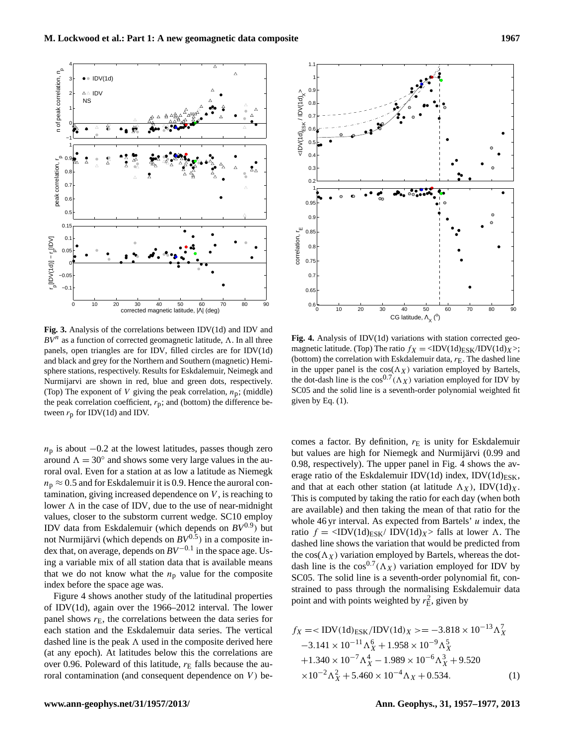**Fig. 3.** Analysis of the correlations between IDV(1d) and IDV and  $BV^n$  as a function of corrected geomagnetic latitude,  $\Lambda$ . In all three panels, open triangles are for IDV, filled circles are for IDV(1d) and black and grey for the Northern and Southern (magnetic) Hemisphere stations, respectively. Results for Eskdalemuir, Neimegk and Nurmijarvi are shown in red, blue and green dots, respectively. (Top) The exponent of V giving the peak correlation,  $n_p$ ; (middle) the peak correlation coefficient,  $r_p$ ; and (bottom) the difference between  $r_p$  for IDV(1d) and IDV.

 $n<sub>p</sub>$  is about  $-0.2$  at the lowest latitudes, passes though zero around  $\Lambda = 30^\circ$  and shows some very large values in the auroral oval. Even for a station at as low a latitude as Niemegk  $n_p \approx 0.5$  and for Eskdalemuir it is 0.9. Hence the auroral contamination, giving increased dependence on V , is reaching to lower  $\Lambda$  in the case of IDV, due to the use of near-midnight values, closer to the substorm current wedge. SC10 employ IDV data from Eskdalemuir (which depends on *BV*0.<sup>9</sup> ) but not Nurmijärvi (which depends on *BV*0.<sup>5</sup> ) in a composite index that, on average, depends on  $BV^{-0.1}$  in the space age. Using a variable mix of all station data that is available means that we do not know what the  $n<sub>p</sub>$  value for the composite index before the space age was. Example 1.1 and the contamination (and contamination (and consequent dependence on V, is reaching to the content dependence on Consequent dependence on Consequent dependence on Consequent dependence on Consequent dependen

Figure 4 shows another study of the latitudinal properties of IDV(1d), again over the 1966–2012 interval. The lower panel shows  $r<sub>E</sub>$ , the correlations between the data series for each station and the Eskdalemuir data series. The vertical dashed line is the peak  $\Lambda$  used in the composite derived here (at any epoch). At latitudes below this the correlations are over 0.96. Poleward of this latitude,  $r_E$  falls because the au-

**Fig. 4.** Analysis of IDV(1d) variations with station corrected geomagnetic latitude. (Top) The ratio  $f_X = \langle \text{IDV}(1d)_{\text{ESK}}/ \text{IDV}(1d)_{X} \rangle$ ; (bottom) the correlation with Eskdalemuir data,  $r_E$ . The dashed line in the upper panel is the  $cos(\Lambda_X)$  variation employed by Bartels, the dot-dash line is the  $\cos^{0.7}(\Lambda_X)$  variation employed for IDV by SC05 and the solid line is a seventh-order polynomial weighted fit given by Eq.  $(1)$ .

comes a factor. By definition,  $r_E$  is unity for Eskdalemuir but values are high for Niemegk and Nurmijärvi (0.99 and 0.98, respectively). The upper panel in Fig. 4 shows the average ratio of the Eskdalemuir IDV(1d) index, IDV(1d) $_{ESK}$ , and that at each other station (at latitude  $\Lambda_X$ ), IDV(1d)<sub>X</sub>. This is computed by taking the ratio for each day (when both are available) and then taking the mean of that ratio for the whole 46 yr interval. As expected from Bartels'  $u$  index, the ratio  $f = \langle \text{IDV}(1d)_{\text{ESK}} / \text{IDV}(1d)_{X} \rangle$  falls at lower  $\Lambda$ . The dashed line shows the variation that would be predicted from the  $cos(\Lambda_X)$  variation employed by Bartels, whereas the dotdash line is the  $cos^{0.7}(\Lambda_X)$  variation employed for IDV by SC05. The solid line is a seventh-order polynomial fit, constrained to pass through the normalising Eskdalemuir data point and with points weighted by  $r_{\rm E}^2$ , given by

$$
f_X = \langle \text{IDV}(1d)_{\text{ESK}} / \text{IDV}(1d)_X \rangle = -3.818 \times 10^{-13} \Lambda_X^7
$$
  
\n
$$
-3.141 \times 10^{-11} \Lambda_X^6 + 1.958 \times 10^{-9} \Lambda_X^5
$$
  
\n
$$
+1.340 \times 10^{-7} \Lambda_X^4 - 1.989 \times 10^{-6} \Lambda_X^3 + 9.520
$$
  
\n
$$
\times 10^{-2} \Lambda_X^2 + 5.460 \times 10^{-4} \Lambda_X + 0.534.
$$
 (1)



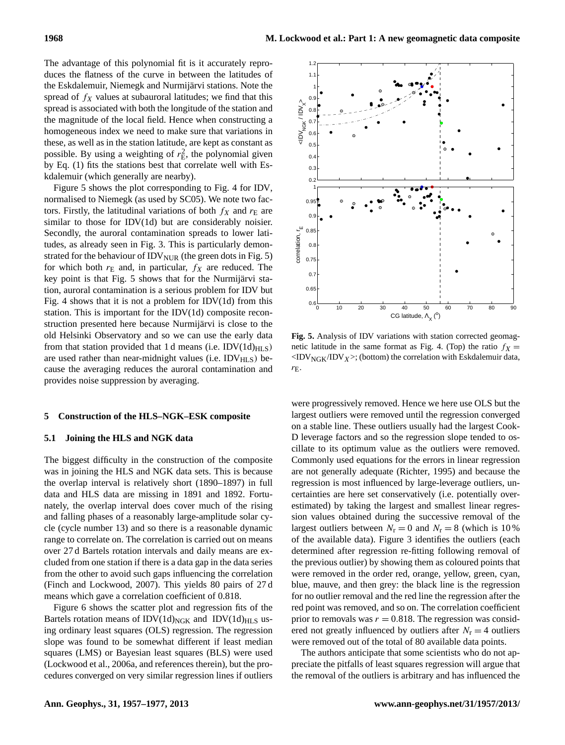The advantage of this polynomial fit is it accurately reproduces the flatness of the curve in between the latitudes of the Eskdalemuir, Niemegk and Nurmijärvi stations. Note the spread of  $f_X$  values at subauroral latitudes; we find that this spread is associated with both the longitude of the station and the magnitude of the local field. Hence when constructing a homogeneous index we need to make sure that variations in these, as well as in the station latitude, are kept as constant as possible. By using a weighting of  $r_{\rm E}^2$ , the polynomial given by Eq. (1) fits the stations best that correlate well with Eskdalemuir (which generally are nearby).

Figure 5 shows the plot corresponding to Fig. 4 for IDV, normalised to Niemegk (as used by SC05). We note two factors. Firstly, the latitudinal variations of both  $f_X$  and  $r_E$  are similar to those for IDV(1d) but are considerably noisier. Secondly, the auroral contamination spreads to lower latitudes, as already seen in Fig. 3. This is particularly demonstrated for the behaviour of  $IDV<sub>NUR</sub>$  (the green dots in Fig. 5) for which both  $r<sub>E</sub>$  and, in particular,  $f<sub>X</sub>$  are reduced. The key point is that Fig. 5 shows that for the Nurmijärvi station, auroral contamination is a serious problem for IDV but Fig. 4 shows that it is not a problem for IDV $(1d)$  from this station. This is important for the IDV(1d) composite reconstruction presented here because Nurmijärvi is close to the old Helsinki Observatory and so we can use the early data from that station provided that 1 d means (i.e. IDV $(1d)_{\text{HLS}}$ ) are used rather than near-midnight values (i.e.  $IDV_{HLS}$ ) because the averaging reduces the auroral contamination and provides noise suppression by averaging. Secondly, the auroral constantiation spreads to lower lati-<br>strated or between in Fig. 3. This is particularly denom-<br>strated for the behaviour of IDV<sub>NUK</sub> (the green dots in Fig. 5)<br>for which both  $r_E$  and, in particular

#### **5 Construction of the HLS–NGK–ESK composite**

## **5.1 Joining the HLS and NGK data**

The biggest difficulty in the construction of the composite was in joining the HLS and NGK data sets. This is because the overlap interval is relatively short (1890–1897) in full data and HLS data are missing in 1891 and 1892. Fortunately, the overlap interval does cover much of the rising and falling phases of a reasonably large-amplitude solar cycle (cycle number 13) and so there is a reasonable dynamic range to correlate on. The correlation is carried out on means over 27 d Bartels rotation intervals and daily means are excluded from one station if there is a data gap in the data series from the other to avoid such gaps influencing the correlation (Finch and Lockwood, 2007). This yields 80 pairs of 27 d means which gave a correlation coefficient of 0.818.

Figure 6 shows the scatter plot and regression fits of the Bartels rotation means of  $IDV(1d)_{NGK}$  and  $IDV(1d)_{HLS}$  using ordinary least squares (OLS) regression. The regression slope was found to be somewhat different if least median squares (LMS) or Bayesian least squares (BLS) were used (Lockwood et al., 2006a, and references therein), but the pro-



**Fig. 5.** Analysis of IDV variations with station corrected geomagnetic latitude in the same format as Fig. 4. (Top) the ratio  $f_X =$  $\langle$ IDV<sub>NGK</sub>/IDV<sub>X</sub>>; (bottom) the correlation with Eskdalemuir data,  $r_{\rm E}$ .

were progressively removed. Hence we here use OLS but the largest outliers were removed until the regression converged on a stable line. These outliers usually had the largest Cook-D leverage factors and so the regression slope tended to oscillate to its optimum value as the outliers were removed. Commonly used equations for the errors in linear regression are not generally adequate (Richter, 1995) and because the regression is most influenced by large-leverage outliers, uncertainties are here set conservatively (i.e. potentially overestimated) by taking the largest and smallest linear regression values obtained during the successive removal of the largest outliers between  $N_r = 0$  and  $N_r = 8$  (which is 10%) of the available data). Figure 3 identifies the outliers (each determined after regression re-fitting following removal of the previous outlier) by showing them as coloured points that were removed in the order red, orange, yellow, green, cyan, blue, mauve, and then grey: the black line is the regression for no outlier removal and the red line the regression after the red point was removed, and so on. The correlation coefficient prior to removals was  $r = 0.818$ . The regression was considered not greatly influenced by outliers after  $N_r = 4$  outliers were removed out of the total of 80 available data points.

The authors anticipate that some scientists who do not appreciate the pitfalls of least squares regression will argue that the removal of the outliers is arbitrary and has influenced the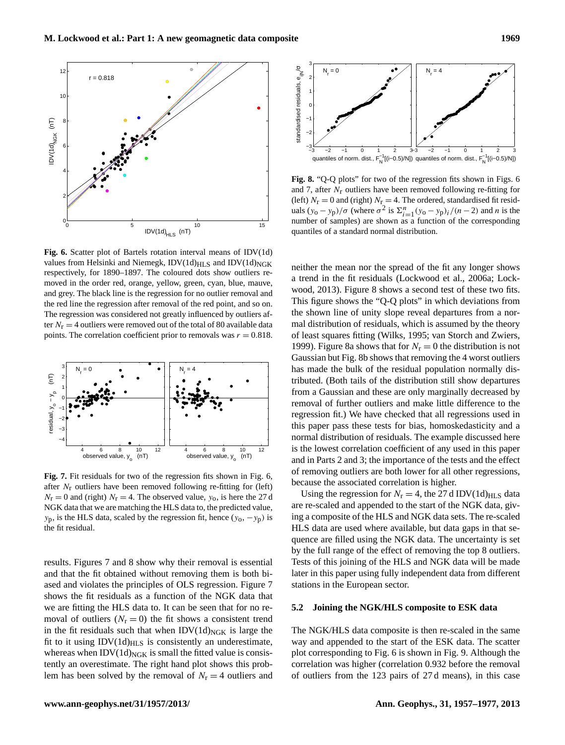

**Fig. 6.** Scatter plot of Bartels rotation interval means of IDV(1d) values from Helsinki and Niemegk,  $IDV(1d)_{HLS}$  and  $IDV(1d)_{NGK}$ respectively, for 1890–1897. The coloured dots show outliers removed in the order red, orange, yellow, green, cyan, blue, mauve, and grey. The black line is the regression for no outlier removal and the red line the regression after removal of the red point, and so on. The regression was considered not greatly influenced by outliers after  $N_{\rm r} = 4$  outliers were removed out of the total of 80 available data points. The correlation coefficient prior to removals was  $r = 0.818$ .



**Fig. 7.** Fit residuals for two of the regression fits shown in Fig. 6, after  $N_r$  outliers have been removed following re-fitting for (left)  $N_{\rm r} = 0$  and (right)  $N_{\rm r} = 4$ . The observed value,  $y_{\rm o}$ , is here the 27 d NGK data that we are matching the HLS data to, the predicted value,  $y_p$ , is the HLS data, scaled by the regression fit, hence  $(y_o, -y_p)$  is the fit residual.

results. Figures 7 and 8 show why their removal is essential and that the fit obtained without removing them is both biased and violates the principles of OLS regression. Figure 7 shows the fit residuals as a function of the NGK data that we are fitting the HLS data to. It can be seen that for no removal of outliers  $(N_r = 0)$  the fit shows a consistent trend in the fit residuals such that when  $IDV(1d)_{NGK}$  is large the fit to it using  $IDV(1d)_{HLS}$  is consistently an underestimate, whereas when  $IDV(1d)_{NGK}$  is small the fitted value is consistently an overestimate. The right hand plot shows this problem has been solved by the removal of  $N_r = 4$  outliers and



**Fig. 8.** "Q-Q plots" for two of the regression fits shown in Figs. 6 and 7, after  $N_r$  outliers have been removed following re-fitting for (left)  $N_{\rm r} = 0$  and (right)  $N_{\rm r} = 4$ . The ordered, standardised fit residuals  $(y_0 - y_p)/\sigma$  (where  $\sigma^2$  is  $\sum_{i=1}^n (y_0 - y_p)_i/(n-2)$  and n is the number of samples) are shown as a function of the corresponding quantiles of a standard normal distribution.

neither the mean nor the spread of the fit any longer shows a trend in the fit residuals (Lockwood et al., 2006a; Lockwood, 2013). Figure 8 shows a second test of these two fits. This figure shows the "Q-Q plots" in which deviations from the shown line of unity slope reveal departures from a normal distribution of residuals, which is assumed by the theory of least squares fitting (Wilks, 1995; van Storch and Zwiers, 1999). Figure 8a shows that for  $N_r = 0$  the distribution is not Gaussian but Fig. 8b shows that removing the 4 worst outliers has made the bulk of the residual population normally distributed. (Both tails of the distribution still show departures from a Gaussian and these are only marginally decreased by removal of further outliers and make little difference to the regression fit.) We have checked that all regressions used in this paper pass these tests for bias, homoskedasticity and a normal distribution of residuals. The example discussed here is the lowest correlation coefficient of any used in this paper and in Parts 2 and 3; the importance of the tests and the effect of removing outliers are both lower for all other regressions, because the associated correlation is higher.

Using the regression for  $N_r = 4$ , the 27 d IDV(1d)<sub>HLS</sub> data are re-scaled and appended to the start of the NGK data, giving a composite of the HLS and NGK data sets. The re-scaled HLS data are used where available, but data gaps in that sequence are filled using the NGK data. The uncertainty is set by the full range of the effect of removing the top 8 outliers. Tests of this joining of the HLS and NGK data will be made later in this paper using fully independent data from different stations in the European sector.

### **5.2 Joining the NGK/HLS composite to ESK data**

The NGK/HLS data composite is then re-scaled in the same way and appended to the start of the ESK data. The scatter plot corresponding to Fig. 6 is shown in Fig. 9. Although the correlation was higher (correlation 0.932 before the removal of outliers from the 123 pairs of 27 d means), in this case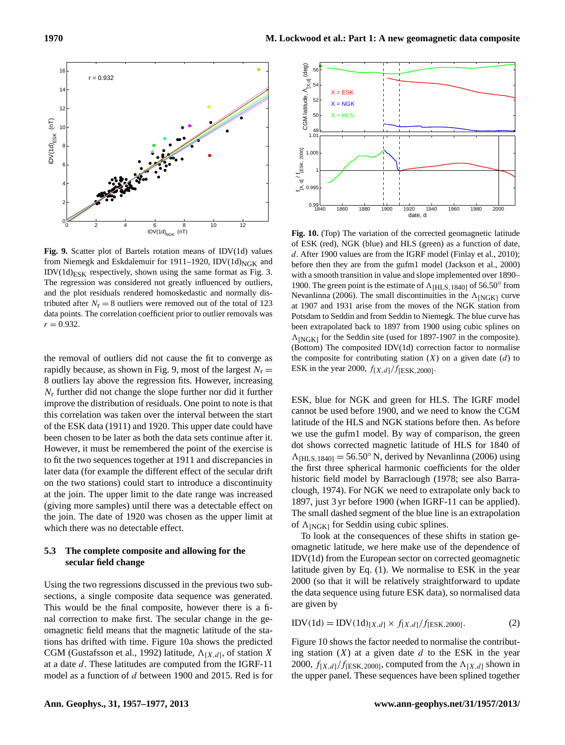

**Fig. 9.** Scatter plot of Bartels rotation means of IDV(1d) values from Niemegk and Eskdalemuir for 1911–1920, IDV(1d)<sub>NGK</sub> and  $IDV(1d)_{ESK}$  respectively, shown using the same format as Fig. 3. The regression was considered not greatly influenced by outliers, and the plot residuals rendered homoskedastic and normally distributed after  $N_r = 8$  outliers were removed out of the total of 123 data points. The correlation coefficient prior to outlier removals was  $r = 0.932$ .

the removal of outliers did not cause the fit to converge as rapidly because, as shown in Fig. 9, most of the largest  $N_r =$ 8 outliers lay above the regression fits. However, increasing  $N_r$  further did not change the slope further nor did it further improve the distribution of residuals. One point to note is that this correlation was taken over the interval between the start of the ESK data (1911) and 1920. This upper date could have been chosen to be later as both the data sets continue after it. However, it must be remembered the point of the exercise is to fit the two sequences together at 1911 and discrepancies in later data (for example the different effect of the secular drift on the two stations) could start to introduce a discontinuity at the join. The upper limit to the date range was increased (giving more samples) until there was a detectable effect on the join. The date of 1920 was chosen as the upper limit at which there was no detectable effect. **EVALUATION CONSULTS AND THE SERVE AS A FUNCTION OF SERVER AND (19) THE SERVER CONSULTS AND THE SERVER CONSULTS AND CONSULTS ARE CONSULTS AND CONSULTS ARE CONSULTS AND CONSULTS ARE CONSULTS AND CONSULTS ARE CONSULTS AND C** 

## **5.3 The complete composite and allowing for the secular field change**

Using the two regressions discussed in the previous two subsections, a single composite data sequence was generated. This would be the final composite, however there is a final correction to make first. The secular change in the geomagnetic field means that the magnetic latitude of the stations has drifted with time. Figure 10a shows the predicted CGM (Gustafsson et al., 1992) latitude,  $\Lambda_{[X,d]}$ , of station X at a date d. These latitudes are computed from the IGRF-11



**Fig. 10.** (Top) The variation of the corrected geomagnetic latitude of ESK (red), NGK (blue) and HLS (green) as a function of date, d. After 1900 values are from the IGRF model (Finlay et al., 2010); before then they are from the gufm1 model (Jackson et al., 2000) with a smooth transition in value and slope implemented over 1890– 1900. The green point is the estimate of  $\Lambda$ <sub>[HLS,1840]</sub> of 56.50° from Nevanlinna (2006). The small discontinuities in the  $\Lambda_{\rm [NGK]}$  curve at 1907 and 1931 arise from the moves of the NGK station from Potsdam to Seddin and from Seddin to Niemegk. The blue curve has been extrapolated back to 1897 from 1900 using cubic splines on  $\Lambda$ <sub>[NGK]</sub> for the Seddin site (used for 1897-1907 in the composite). (Bottom) The composited IDV(1d) correction factor to normalise the composite for contributing station  $(X)$  on a given date  $(d)$  to ESK in the year 2000,  $f[X,d]/f[ESK,2000]$ .

ESK, blue for NGK and green for HLS. The IGRF model cannot be used before 1900, and we need to know the CGM latitude of the HLS and NGK stations before then. As before we use the gufm1 model. By way of comparison, the green dot shows corrected magnetic latitude of HLS for 1840 of  $\Lambda$ <sub>[HLS,1840]</sub> = 56.50° N, derived by Nevanlinna (2006) using the first three spherical harmonic coefficients for the older historic field model by Barraclough (1978; see also Barraclough, 1974). For NGK we need to extrapolate only back to 1897, just 3 yr before 1900 (when IGRF-11 can be applied). The small dashed segment of the blue line is an extrapolation of  $\Lambda$ <sub>[NGK]</sub> for Seddin using cubic splines.

To look at the consequences of these shifts in station geomagnetic latitude, we here make use of the dependence of IDV(1d) from the European sector on corrected geomagnetic latitude given by Eq. (1). We normalise to ESK in the year 2000 (so that it will be relatively straightforward to update the data sequence using future ESK data), so normalised data are given by

$$
IDV(1d) = IDV(1d)_{[X,d]} \times f_{[X,d]}/f_{[ESK,2000]}.
$$
 (2)

Figure 10 shows the factor needed to normalise the contributing station  $(X)$  at a given date d to the ESK in the year 2000,  $f_{[X,d]}/f_{[ESK,2000]}$ , computed from the  $\Lambda_{[X,d]}$  shown in the upper panel. These sequences have been splined together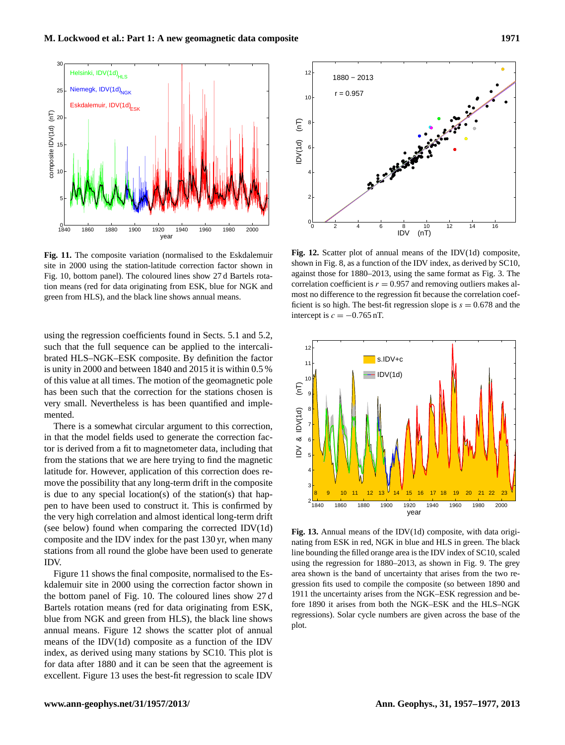

**Fig. 11.** The composite variation (normalised to the Eskdalemuir site in 2000 using the station-latitude correction factor shown in Fig. 10, bottom panel). The coloured lines show 27 d Bartels rotation means (red for data originating from ESK, blue for NGK and green from HLS), and the black line shows annual means.

using the regression coefficients found in Sects. 5.1 and 5.2, such that the full sequence can be applied to the intercalibrated HLS–NGK–ESK composite. By definition the factor is unity in 2000 and between 1840 and 2015 it is within 0.5 % of this value at all times. The motion of the geomagnetic pole has been such that the correction for the stations chosen is very small. Nevertheless is has been quantified and implemented.

There is a somewhat circular argument to this correction, in that the model fields used to generate the correction factor is derived from a fit to magnetometer data, including that from the stations that we are here trying to find the magnetic latitude for. However, application of this correction does remove the possibility that any long-term drift in the composite is due to any special location(s) of the station(s) that happen to have been used to construct it. This is confirmed by the very high correlation and almost identical long-term drift (see below) found when comparing the corrected IDV(1d) composite and the IDV index for the past 130 yr, when many stations from all round the globe have been used to generate IDV.

Figure 11 shows the final composite, normalised to the Eskdalemuir site in 2000 using the correction factor shown in the bottom panel of Fig. 10. The coloured lines show 27 d Bartels rotation means (red for data originating from ESK, blue from NGK and green from HLS), the black line shows annual means. Figure 12 shows the scatter plot of annual means of the IDV(1d) composite as a function of the IDV index, as derived using many stations by SC10. This plot is for data after 1880 and it can be seen that the agreement is excellent. Figure 13 uses the best-fit regression to scale IDV



**Fig. 12.** Scatter plot of annual means of the IDV(1d) composite, shown in Fig. 8, as a function of the IDV index, as derived by SC10, against those for 1880–2013, using the same format as Fig. 3. The correlation coefficient is  $r = 0.957$  and removing outliers makes almost no difference to the regression fit because the correlation coefficient is so high. The best-fit regression slope is  $s = 0.678$  and the intercept is  $c = -0.765$  nT.



**Fig. 13.** Annual means of the IDV(1d) composite, with data originating from ESK in red, NGK in blue and HLS in green. The black line bounding the filled orange area is the IDV index of SC10, scaled using the regression for 1880–2013, as shown in Fig. 9. The grey area shown is the band of uncertainty that arises from the two regression fits used to compile the composite (so between 1890 and 1911 the uncertainty arises from the NGK–ESK regression and before 1890 it arises from both the NGK–ESK and the HLS–NGK regressions). Solar cycle numbers are given across the base of the plot.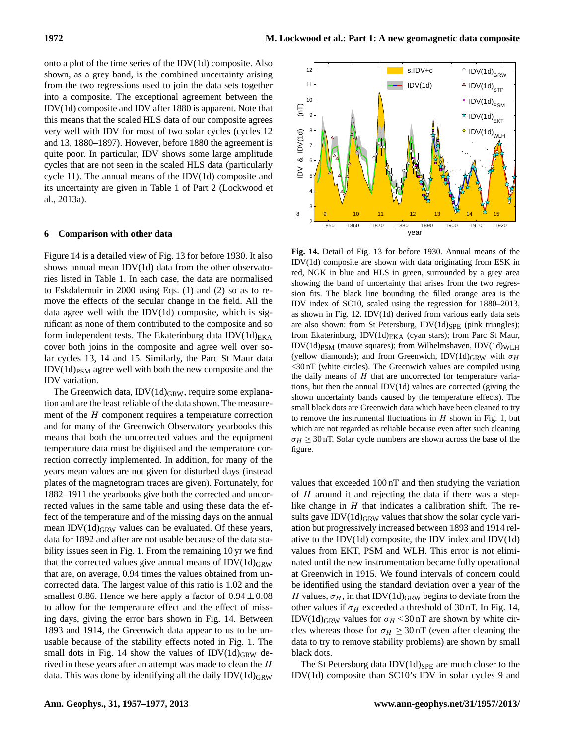onto a plot of the time series of the IDV(1d) composite. Also shown, as a grey band, is the combined uncertainty arising from the two regressions used to join the data sets together into a composite. The exceptional agreement between the IDV(1d) composite and IDV after 1880 is apparent. Note that this means that the scaled HLS data of our composite agrees very well with IDV for most of two solar cycles (cycles 12 and 13, 1880–1897). However, before 1880 the agreement is quite poor. In particular, IDV shows some large amplitude cycles that are not seen in the scaled HLS data (particularly cycle 11). The annual means of the IDV(1d) composite and its uncertainty are given in Table 1 of Part 2 (Lockwood et al., 2013a).

## **6 Comparison with other data**

Figure 14 is a detailed view of Fig. 13 for before 1930. It also shows annual mean IDV(1d) data from the other observatories listed in Table 1. In each case, the data are normalised to Eskdalemuir in 2000 using Eqs. (1) and (2) so as to remove the effects of the secular change in the field. All the data agree well with the IDV $(1d)$  composite, which is significant as none of them contributed to the composite and so form independent tests. The Ekaterinburg data  $IDV(1d)_{EKA}$ cover both joins in the composite and agree well over solar cycles 13, 14 and 15. Similarly, the Parc St Maur data  $IDV(1d)_{PSM}$  agree well with both the new composite and the IDV variation.

The Greenwich data,  $IDV(1d)_{GRW}$ , require some explanation and are the least reliable of the data shown. The measurement of the H component requires a temperature correction and for many of the Greenwich Observatory yearbooks this means that both the uncorrected values and the equipment temperature data must be digitised and the temperature correction correctly implemented. In addition, for many of the years mean values are not given for disturbed days (instead plates of the magnetogram traces are given). Fortunately, for 1882–1911 the yearbooks give both the corrected and uncorrected values in the same table and using these data the effect of the temperature and of the missing days on the annual mean IDV $(1d)$ <sub>GRW</sub> values can be evaluated. Of these years, data for 1892 and after are not usable because of the data stability issues seen in Fig. 1. From the remaining 10 yr we find that the corrected values give annual means of  $IDV(1d)_{GRW}$ that are, on average, 0.94 times the values obtained from uncorrected data. The largest value of this ratio is 1.02 and the smallest 0.86. Hence we here apply a factor of  $0.94 \pm 0.08$ to allow for the temperature effect and the effect of missing days, giving the error bars shown in Fig. 14. Between 1893 and 1914, the Greenwich data appear to us to be unusable because of the stability effects noted in Fig. 1. The small dots in Fig. 14 show the values of  $IDV(1d)_{GRW}$  derived in these years after an attempt was made to clean the  $H$ data. This was done by identifying all the daily  $IDV(1d)$ <sub>GRW</sub>



**Fig. 14.** Detail of Fig. 13 for before 1930. Annual means of the IDV(1d) composite are shown with data originating from ESK in red, NGK in blue and HLS in green, surrounded by a grey area showing the band of uncertainty that arises from the two regression fits. The black line bounding the filled orange area is the IDV index of SC10, scaled using the regression for 1880–2013, as shown in Fig. 12. IDV(1d) derived from various early data sets are also shown: from St Petersburg,  $IDV(1d)_{SPE}$  (pink triangles); from Ekaterinburg, IDV(1d) $_{\text{EKA}}$  (cyan stars); from Parc St Maur,  $IDV(1d)<sub>PSM</sub>$  (mauve squares); from Wilhelmshaven,  $IDV(1d)<sub>WLH</sub>$ (yellow diamonds); and from Greenwich, IDV(1d)<sub>GRW</sub> with  $\sigma_H$ <30 nT (white circles). The Greenwich values are compiled using the daily means of  $H$  that are uncorrected for temperature variations, but then the annual IDV(1d) values are corrected (giving the shown uncertainty bands caused by the temperature effects). The small black dots are Greenwich data which have been cleaned to try to remove the instrumental fluctuations in  $H$  shown in Fig. 1, but which are not regarded as reliable because even after such cleaning  $\sigma_H \geq 30$  nT. Solar cycle numbers are shown across the base of the figure.

values that exceeded 100 nT and then studying the variation of  $H$  around it and rejecting the data if there was a steplike change in  $H$  that indicates a calibration shift. The results gave  $IDV(1d)$ <sub>GRW</sub> values that show the solar cycle variation but progressively increased between 1893 and 1914 relative to the IDV $(1d)$  composite, the IDV index and IDV $(1d)$ values from EKT, PSM and WLH. This error is not eliminated until the new instrumentation became fully operational at Greenwich in 1915. We found intervals of concern could be identified using the standard deviation over a year of the H values,  $\sigma_H$ , in that IDV(1d)<sub>GRW</sub> begins to deviate from the other values if  $\sigma_H$  exceeded a threshold of 30 nT. In Fig. 14, IDV(1d)<sub>GRW</sub> values for  $\sigma_H < 30$  nT are shown by white circles whereas those for  $\sigma_H \geq 30$  nT (even after cleaning the data to try to remove stability problems) are shown by small black dots.

The St Petersburg data  $IDV(1d)_{SPE}$  are much closer to the IDV(1d) composite than SC10's IDV in solar cycles 9 and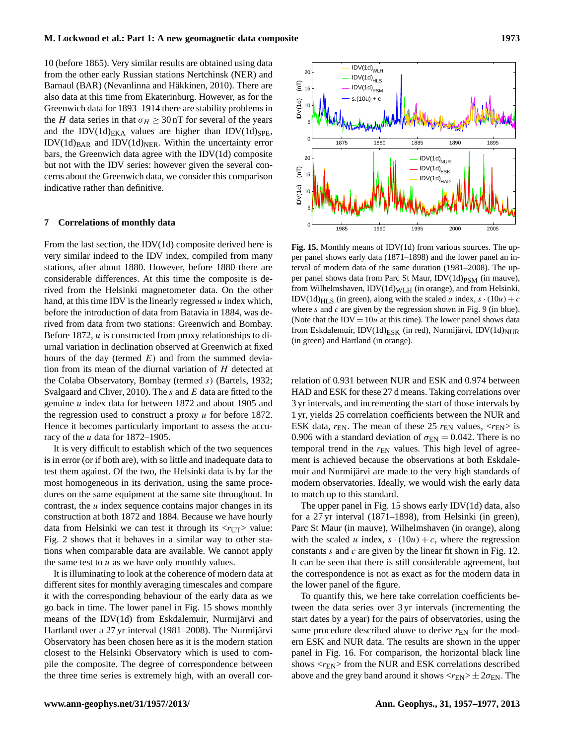10 (before 1865). Very similar results are obtained using data from the other early Russian stations Nertchinsk (NER) and Barnaul (BAR) (Nevanlinna and Häkkinen, 2010). There are also data at this time from Ekaterinburg. However, as for the Greenwich data for 1893–1914 there are stability problems in the H data series in that  $\sigma_H \geq 30$  nT for several of the years and the IDV(1d) $_{EKA}$  values are higher than IDV(1d) $_{SPE}$ ,  $IDV(1d)_{BAR}$  and  $IDV(1d)_{NER}$ . Within the uncertainty error bars, the Greenwich data agree with the IDV(1d) composite but not with the IDV series: however given the several concerns about the Greenwich data, we consider this comparison indicative rather than definitive.

#### **7 Correlations of monthly data**

From the last section, the IDV(1d) composite derived here is very similar indeed to the IDV index, compiled from many stations, after about 1880. However, before 1880 there are considerable differences. At this time the composite is derived from the Helsinki magnetometer data. On the other hand, at this time IDV is the linearly regressed  $u$  index which, before the introduction of data from Batavia in 1884, was derived from data from two stations: Greenwich and Bombay. Before 1872, u is constructed from proxy relationships to diurnal variation in declination observed at Greenwich at fixed hours of the day (termed  $E$ ) and from the summed deviation from its mean of the diurnal variation of H detected at the Colaba Observatory, Bombay (termed s) (Bartels, 1932; Svalgaard and Cliver, 2010). The s and  $E$  data are fitted to the genuine u index data for between 1872 and about 1905 and the regression used to construct a proxy u for before 1872. Hence it becomes particularly important to assess the accuracy of the  $u$  data for 1872–1905.

It is very difficult to establish which of the two sequences is in error (or if both are), with so little and inadequate data to test them against. Of the two, the Helsinki data is by far the most homogeneous in its derivation, using the same procedures on the same equipment at the same site throughout. In contrast, the  $u$  index sequence contains major changes in its construction at both 1872 and 1884. Because we have hourly data from Helsinki we can test it through its  $\langle r_{\text{UT}} \rangle$  value: Fig. 2 shows that it behaves in a similar way to other stations when comparable data are available. We cannot apply the same test to  $u$  as we have only monthly values.

It is illuminating to look at the coherence of modern data at different sites for monthly averaging timescales and compare it with the corresponding behaviour of the early data as we go back in time. The lower panel in Fig. 15 shows monthly means of the IDV(1d) from Eskdalemuir, Nurmijärvi and Hartland over a 27 yr interval (1981–2008). The Nurmijärvi Observatory has been chosen here as it is the modern station closest to the Helsinki Observatory which is used to compile the composite. The degree of correspondence between the three time series is extremely high, with an overall cor-



**Fig. 15.** Monthly means of IDV(1d) from various sources. The upper panel shows early data (1871–1898) and the lower panel an interval of modern data of the same duration (1981–2008). The upper panel shows data from Parc St Maur,  $IDV(1d)_{PSM}$  (in mauve), from Wilhelmshaven,  $IDV(1d)_{WLH}$  (in orange), and from Helsinki, IDV(1d)<sub>HLS</sub> (in green), along with the scaled u index,  $s \cdot (10u) + c$ where s and c are given by the regression shown in Fig. 9 (in blue). (Note that the IDV =  $10u$  at this time). The lower panel shows data from Eskdalemuir, IDV(1d)<sub>ESK</sub> (in red), Nurmijärvi, IDV(1d)<sub>NUR</sub> (in green) and Hartland (in orange).

relation of 0.931 between NUR and ESK and 0.974 between HAD and ESK for these 27 d means. Taking correlations over 3 yr intervals, and incrementing the start of those intervals by 1 yr, yields 25 correlation coefficients between the NUR and ESK data,  $r_{EN}$ . The mean of these 25  $r_{EN}$  values,  $\langle r_{EN} \rangle$  is 0.906 with a standard deviation of  $\sigma_{EN} = 0.042$ . There is no temporal trend in the  $r_{FN}$  values. This high level of agreement is achieved because the observations at both Eskdalemuir and Nurmijärvi are made to the very high standards of modern observatories. Ideally, we would wish the early data to match up to this standard.

The upper panel in Fig. 15 shows early IDV(1d) data, also for a 27 yr interval (1871–1898), from Helsinki (in green), Parc St Maur (in mauve), Wilhelmshaven (in orange), along with the scaled u index,  $s \cdot (10u) + c$ , where the regression constants s and c are given by the linear fit shown in Fig. 12. It can be seen that there is still considerable agreement, but the correspondence is not as exact as for the modern data in the lower panel of the figure.

To quantify this, we here take correlation coefficients between the data series over 3 yr intervals (incrementing the start dates by a year) for the pairs of observatories, using the same procedure described above to derive  $r_{EN}$  for the modern ESK and NUR data. The results are shown in the upper panel in Fig. 16. For comparison, the horizontal black line shows  $\langle r_{\rm EN} \rangle$  from the NUR and ESK correlations described above and the grey band around it shows  $\langle r_{\rm EN} \rangle \pm 2\sigma_{\rm EN}$ . The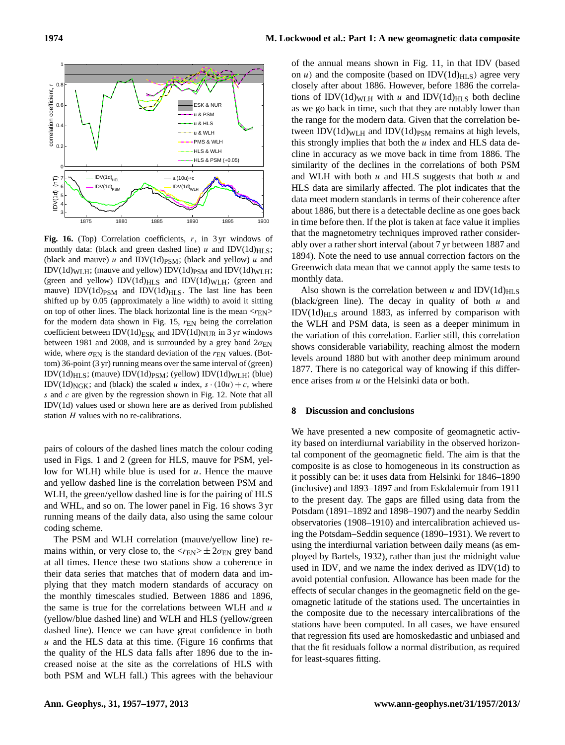

Fig. 16. (Top) Correlation coefficients, r, in 3 yr windows of monthly data: (black and green dashed line) u and IDV(1d) $_{\rm HI,S}$ ; (black and mauve)  $u$  and IDV(1d)<sub>PSM</sub>; (black and yellow)  $u$  and IDV(1d)WLH; (mauve and yellow) IDV(1d)<sub>PSM</sub> and IDV(1d)<sub>WLH</sub>; (green and yellow)  $IDV(1d)_{HLS}$  and  $IDV(1d)_{WLH}$ ; (green and mauve) IDV(1d) $_{\text{PSM}}$  and IDV(1d) $_{\text{HLS}}$ . The last line has been shifted up by 0.05 (approximately a line width) to avoid it sitting on top of other lines. The black horizontal line is the mean  $\langle r_{\rm EN} \rangle$ for the modern data shown in Fig. 15,  $r_{EN}$  being the correlation coefficient between IDV(1d)<sub>ESK</sub> and IDV(1d)<sub>NUR</sub> in 3 yr windows between 1981 and 2008, and is surrounded by a grey band  $2\sigma_{EN}$ wide, where  $\sigma_{EN}$  is the standard deviation of the  $r_{EN}$  values. (Bottom) 36-point (3 yr) running means over the same interval of (green)  $IDV(1d)_{HLS}$ ; (mauve)  $IDV(1d)_{PSM}$ ; (yellow)  $IDV(1d)_{WLH}$ ; (blue) IDV(1d)<sub>NGK</sub>; and (black) the scaled u index,  $s \cdot (10u) + c$ , where s and  $c$  are given by the regression shown in Fig. 12. Note that all IDV(1d) values used or shown here are as derived from published station  $H$  values with no re-calibrations.

pairs of colours of the dashed lines match the colour coding used in Figs. 1 and 2 (green for HLS, mauve for PSM, yellow for WLH) while blue is used for  $u$ . Hence the mauve and yellow dashed line is the correlation between PSM and WLH, the green/yellow dashed line is for the pairing of HLS and WHL, and so on. The lower panel in Fig. 16 shows 3 yr running means of the daily data, also using the same colour coding scheme.

The PSM and WLH correlation (mauve/yellow line) remains within, or very close to, the  $\langle r_{\rm EN} \rangle \pm 2\sigma_{\rm EN}$  grey band at all times. Hence these two stations show a coherence in their data series that matches that of modern data and implying that they match modern standards of accuracy on the monthly timescales studied. Between 1886 and 1896, the same is true for the correlations between WLH and  $u$ (yellow/blue dashed line) and WLH and HLS (yellow/green dashed line). Hence we can have great confidence in both  $u$  and the HLS data at this time. (Figure 16 confirms that the quality of the HLS data falls after 1896 due to the increased noise at the site as the correlations of HLS with both PSM and WLH fall.) This agrees with the behaviour of the annual means shown in Fig. 11, in that IDV (based on *u*) and the composite (based on IDV $(1d)_{HLS}$ ) agree very closely after about 1886. However, before 1886 the correlations of IDV(1d)<sub>WLH</sub> with u and IDV(1d)<sub>HLS</sub> both decline as we go back in time, such that they are notably lower than the range for the modern data. Given that the correlation between  $IDV(1d)_{WLH}$  and  $IDV(1d)_{PSM}$  remains at high levels, this strongly implies that both the  $u$  index and HLS data decline in accuracy as we move back in time from 1886. The similarity of the declines in the correlations of both PSM and WLH with both  $u$  and HLS suggests that both  $u$  and HLS data are similarly affected. The plot indicates that the data meet modern standards in terms of their coherence after about 1886, but there is a detectable decline as one goes back in time before then. If the plot is taken at face value it implies that the magnetometry techniques improved rather considerably over a rather short interval (about 7 yr between 1887 and 1894). Note the need to use annual correction factors on the Greenwich data mean that we cannot apply the same tests to monthly data.

Also shown is the correlation between u and IDV(1d)<sub>HLS</sub> (black/green line). The decay in quality of both  $u$  and  $IDV(1d)_{HLS}$  around 1883, as inferred by comparison with the WLH and PSM data, is seen as a deeper minimum in the variation of this correlation. Earlier still, this correlation shows considerable variability, reaching almost the modern levels around 1880 but with another deep minimum around 1877. There is no categorical way of knowing if this difference arises from u or the Helsinki data or both.

#### **8 Discussion and conclusions**

We have presented a new composite of geomagnetic activity based on interdiurnal variability in the observed horizontal component of the geomagnetic field. The aim is that the composite is as close to homogeneous in its construction as it possibly can be: it uses data from Helsinki for 1846–1890 (inclusive) and 1893–1897 and from Eskdalemuir from 1911 to the present day. The gaps are filled using data from the Potsdam (1891–1892 and 1898–1907) and the nearby Seddin observatories (1908–1910) and intercalibration achieved using the Potsdam–Seddin sequence (1890–1931). We revert to using the interdiurnal variation between daily means (as employed by Bartels, 1932), rather than just the midnight value used in IDV, and we name the index derived as IDV(1d) to avoid potential confusion. Allowance has been made for the effects of secular changes in the geomagnetic field on the geomagnetic latitude of the stations used. The uncertainties in the composite due to the necessary intercalibrations of the stations have been computed. In all cases, we have ensured that regression fits used are homoskedastic and unbiased and that the fit residuals follow a normal distribution, as required for least-squares fitting.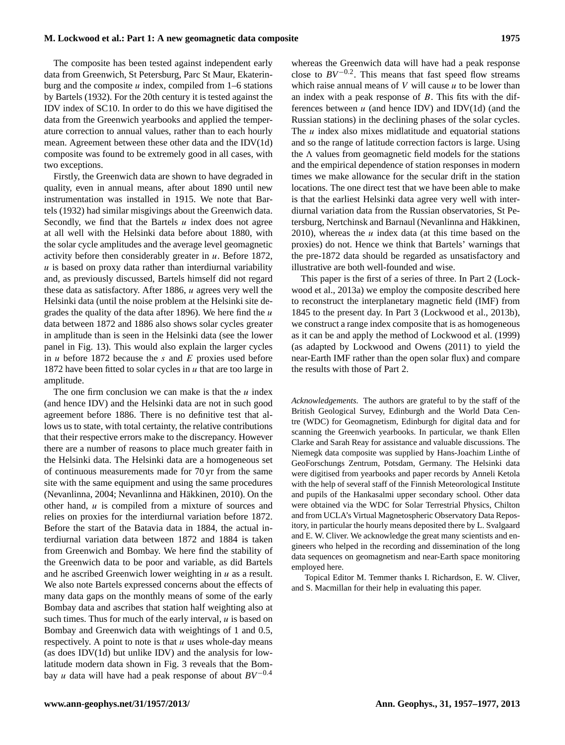The composite has been tested against independent early data from Greenwich, St Petersburg, Parc St Maur, Ekaterinburg and the composite  $u$  index, compiled from 1–6 stations by Bartels (1932). For the 20th century it is tested against the IDV index of SC10. In order to do this we have digitised the data from the Greenwich yearbooks and applied the temperature correction to annual values, rather than to each hourly mean. Agreement between these other data and the IDV(1d) composite was found to be extremely good in all cases, with two exceptions.

Firstly, the Greenwich data are shown to have degraded in quality, even in annual means, after about 1890 until new instrumentation was installed in 1915. We note that Bartels (1932) had similar misgivings about the Greenwich data. Secondly, we find that the Bartels  $u$  index does not agree at all well with the Helsinki data before about 1880, with the solar cycle amplitudes and the average level geomagnetic activity before then considerably greater in  $u$ . Before 1872,  $u$  is based on proxy data rather than interdiurnal variability and, as previously discussed, Bartels himself did not regard these data as satisfactory. After 1886, u agrees very well the Helsinki data (until the noise problem at the Helsinki site degrades the quality of the data after 1896). We here find the  $u$ data between 1872 and 1886 also shows solar cycles greater in amplitude than is seen in the Helsinki data (see the lower panel in Fig. 13). This would also explain the larger cycles in  $u$  before 1872 because the  $s$  and  $E$  proxies used before 1872 have been fitted to solar cycles in  $u$  that are too large in amplitude.

The one firm conclusion we can make is that the  $u$  index (and hence IDV) and the Helsinki data are not in such good agreement before 1886. There is no definitive test that allows us to state, with total certainty, the relative contributions that their respective errors make to the discrepancy. However there are a number of reasons to place much greater faith in the Helsinki data. The Helsinki data are a homogeneous set of continuous measurements made for 70 yr from the same site with the same equipment and using the same procedures (Nevanlinna, 2004; Nevanlinna and Häkkinen, 2010). On the other hand,  $u$  is compiled from a mixture of sources and relies on proxies for the interdiurnal variation before 1872. Before the start of the Batavia data in 1884, the actual interdiurnal variation data between 1872 and 1884 is taken from Greenwich and Bombay. We here find the stability of the Greenwich data to be poor and variable, as did Bartels and he ascribed Greenwich lower weighting in  $u$  as a result. We also note Bartels expressed concerns about the effects of many data gaps on the monthly means of some of the early Bombay data and ascribes that station half weighting also at such times. Thus for much of the early interval,  $u$  is based on Bombay and Greenwich data with weightings of 1 and 0.5, respectively. A point to note is that  $u$  uses whole-day means (as does IDV(1d) but unlike IDV) and the analysis for lowlatitude modern data shown in Fig. 3 reveals that the Bombay u data will have had a peak response of about *BV*−0.<sup>4</sup> whereas the Greenwich data will have had a peak response close to  $BV^{-0.2}$ . This means that fast speed flow streams which raise annual means of  $V$  will cause  $u$  to be lower than an index with a peak response of  $B$ . This fits with the differences between  $u$  (and hence IDV) and IDV(1d) (and the Russian stations) in the declining phases of the solar cycles. The  $u$  index also mixes midlatitude and equatorial stations and so the range of latitude correction factors is large. Using the  $\Lambda$  values from geomagnetic field models for the stations and the empirical dependence of station responses in modern times we make allowance for the secular drift in the station locations. The one direct test that we have been able to make is that the earliest Helsinki data agree very well with interdiurnal variation data from the Russian observatories, St Petersburg, Nertchinsk and Barnaul (Nevanlinna and Häkkinen, 2010), whereas the  $u$  index data (at this time based on the proxies) do not. Hence we think that Bartels' warnings that the pre-1872 data should be regarded as unsatisfactory and illustrative are both well-founded and wise.

This paper is the first of a series of three. In Part 2 (Lockwood et al., 2013a) we employ the composite described here to reconstruct the interplanetary magnetic field (IMF) from 1845 to the present day. In Part 3 (Lockwood et al., 2013b), we construct a range index composite that is as homogeneous as it can be and apply the method of Lockwood et al. (1999) (as adapted by Lockwood and Owens (2011) to yield the near-Earth IMF rather than the open solar flux) and compare the results with those of Part 2.

*Acknowledgements.* The authors are grateful to by the staff of the British Geological Survey, Edinburgh and the World Data Centre (WDC) for Geomagnetism, Edinburgh for digital data and for scanning the Greenwich yearbooks. In particular, we thank Ellen Clarke and Sarah Reay for assistance and valuable discussions. The Niemegk data composite was supplied by Hans-Joachim Linthe of GeoForschungs Zentrum, Potsdam, Germany. The Helsinki data were digitised from yearbooks and paper records by Anneli Ketola with the help of several staff of the Finnish Meteorological Institute and pupils of the Hankasalmi upper secondary school. Other data were obtained via the WDC for Solar Terrestrial Physics, Chilton and from UCLA's Virtual Magnetospheric Observatory Data Repository, in particular the hourly means deposited there by L. Svalgaard and E. W. Cliver. We acknowledge the great many scientists and engineers who helped in the recording and dissemination of the long data sequences on geomagnetism and near-Earth space monitoring employed here.

Topical Editor M. Temmer thanks I. Richardson, E. W. Cliver, and S. Macmillan for their help in evaluating this paper.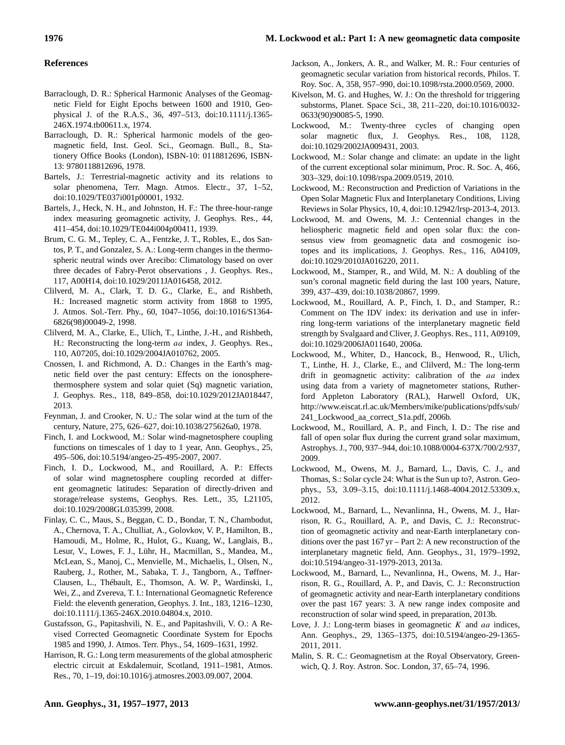## **References**

- Barraclough, D. R.: Spherical Harmonic Analyses of the Geomagnetic Field for Eight Epochs between 1600 and 1910, Geophysical J. of the R.A.S., 36, 497–513, doi[:10.1111/j.1365-](http://dx.doi.org/10.1111/j.1365-246X.1974.tb00611.x) [246X.1974.tb00611.x,](http://dx.doi.org/10.1111/j.1365-246X.1974.tb00611.x) 1974.
- Barraclough, D. R.: Spherical harmonic models of the geomagnetic field, Inst. Geol. Sci., Geomagn. Bull., 8., Stationery Office Books (London), ISBN-10: 0118812696, ISBN-13: 9780118812696, 1978.
- Bartels, J.: Terrestrial-magnetic activity and its relations to solar phenomena, Terr. Magn. Atmos. Electr., 37, 1–52, doi[:10.1029/TE037i001p00001,](http://dx.doi.org/10.1029/TE037i001p00001) 1932.
- Bartels, J., Heck, N. H., and Johnston, H. F.: The three-hour-range index measuring geomagnetic activity, J. Geophys. Res., 44, 411–454, doi[:10.1029/TE044i004p00411,](http://dx.doi.org/10.1029/TE044i004p00411) 1939.
- Brum, C. G. M., Tepley, C. A., Fentzke, J. T., Robles, E., dos Santos, P. T., and Gonzalez, S. A.: Long-term changes in the thermospheric neutral winds over Arecibo: Climatology based on over three decades of Fabry-Perot observations , J. Geophys. Res., 117, A00H14, doi[:10.1029/2011JA016458,](http://dx.doi.org/10.1029/2011JA016458) 2012.
- Clilverd, M. A., Clark, T. D. G., Clarke, E., and Rishbeth, H.: Increased magnetic storm activity from 1868 to 1995, J. Atmos. Sol.-Terr. Phy., 60, 1047–1056, doi[:10.1016/S1364-](http://dx.doi.org/10.1016/S1364-6826(98)00049-2) [6826\(98\)00049-2,](http://dx.doi.org/10.1016/S1364-6826(98)00049-2) 1998.
- Clilverd, M. A., Clarke, E., Ulich, T., Linthe, J.-H., and Rishbeth, H.: Reconstructing the long-term aa index, J. Geophys. Res., 110, A07205, doi[:10.1029/2004JA010762,](http://dx.doi.org/10.1029/2004JA010762) 2005.
- Cnossen, I. and Richmond, A. D.: Changes in the Earth's magnetic field over the past century: Effects on the ionospherethermosphere system and solar quiet (Sq) magnetic variation, J. Geophys. Res., 118, 849–858, doi[:10.1029/2012JA018447,](http://dx.doi.org/10.1029/2012JA018447) 2013.
- Feynman, J. and Crooker, N. U.: The solar wind at the turn of the century, Nature, 275, 626–627, doi[:10.1038/275626a0,](http://dx.doi.org/10.1038/275626a0) 1978.
- Finch, I. and Lockwood, M.: Solar wind-magnetosphere coupling functions on timescales of 1 day to 1 year, Ann. Geophys., 25, 495–506, doi[:10.5194/angeo-25-495-2007,](http://dx.doi.org/10.5194/angeo-25-495-2007) 2007.
- Finch, I. D., Lockwood, M., and Rouillard, A. P.: Effects of solar wind magnetosphere coupling recorded at different geomagnetic latitudes: Separation of directly-driven and storage/release systems, Geophys. Res. Lett., 35, L21105, doi[:10.1029/2008GL035399,](http://dx.doi.org/10.1029/2008GL035399) 2008.
- Finlay, C. C., Maus, S., Beggan, C. D., Bondar, T. N., Chambodut, A., Chernova, T. A., Chulliat, A., Golovkov, V. P., Hamilton, B., Hamoudi, M., Holme, R., Hulot, G., Kuang, W., Langlais, B., Lesur, V., Lowes, F. J., Lühr, H., Macmillan, S., Mandea, M., McLean, S., Manoj, C., Menvielle, M., Michaelis, I., Olsen, N., Rauberg, J., Rother, M., Sabaka, T. J., Tangborn, A., Tøffner-Clausen, L., Thébault, E., Thomson, A. W. P., Wardinski, I., Wei, Z., and Zvereva, T. I.: International Geomagnetic Reference Field: the eleventh generation, Geophys. J. Int., 183, 1216–1230, doi[:10.1111/j.1365-246X.2010.04804.x,](http://dx.doi.org/10.1111/j.1365-246X.2010.04804.x) 2010.
- Gustafsson, G., Papitashvili, N. E., and Papitashvili, V. O.: A Revised Corrected Geomagnetic Coordinate System for Epochs 1985 and 1990, J. Atmos. Terr. Phys., 54, 1609–1631, 1992.
- Harrison, R. G.: Long term measurements of the global atmospheric electric circuit at Eskdalemuir, Scotland, 1911–1981, Atmos. Res., 70, 1–19, doi[:10.1016/j.atmosres.2003.09.007,](http://dx.doi.org/10.1016/j.atmosres.2003.09.007) 2004.
- Jackson, A., Jonkers, A. R., and Walker, M. R.: Four centuries of geomagnetic secular variation from historical records, Philos. T. Roy. Soc. A, 358, 957–990, doi[:10.1098/rsta.2000.0569,](http://dx.doi.org/10.1098/rsta.2000.0569) 2000.
- Kivelson, M. G. and Hughes, W. J.: On the threshold for triggering substorms, Planet. Space Sci., 38, 211–220, doi[:10.1016/0032-](http://dx.doi.org/10.1016/0032-0633(90)90085-5) [0633\(90\)90085-5,](http://dx.doi.org/10.1016/0032-0633(90)90085-5) 1990.
- Lockwood, M.: Twenty-three cycles of changing open solar magnetic flux, J. Geophys. Res., 108, 1128, doi[:10.1029/2002JA009431,](http://dx.doi.org/10.1029/2002JA009431) 2003.
- Lockwood, M.: Solar change and climate: an update in the light of the current exceptional solar minimum, Proc. R. Soc. A, 466, 303–329, doi[:10.1098/rspa.2009.0519,](http://dx.doi.org/10.1098/rspa.2009.0519) 2010.
- Lockwood, M.: Reconstruction and Prediction of Variations in the Open Solar Magnetic Flux and Interplanetary Conditions, Living Reviews in Solar Physics, 10, 4, doi[:10.12942/lrsp-2013-4,](http://dx.doi.org/10.12942/lrsp-2013-4) 2013.
- Lockwood, M. and Owens, M. J.: Centennial changes in the heliospheric magnetic field and open solar flux: the consensus view from geomagnetic data and cosmogenic isotopes and its implications, J. Geophys. Res., 116, A04109, doi[:10.1029/2010JA016220,](http://dx.doi.org/10.1029/2010JA016220) 2011.
- Lockwood, M., Stamper, R., and Wild, M. N.: A doubling of the sun's coronal magnetic field during the last 100 years, Nature, 399, 437–439, doi[:10.1038/20867,](http://dx.doi.org/10.1038/20867) 1999.
- Lockwood, M., Rouillard, A. P., Finch, I. D., and Stamper, R.: Comment on The IDV index: its derivation and use in inferring long-term variations of the interplanetary magnetic field strength by Svalgaard and Cliver, J. Geophys. Res., 111, A09109, doi[:10.1029/2006JA011640,](http://dx.doi.org/10.1029/2006JA011640) 2006a.
- Lockwood, M., Whiter, D., Hancock, B., Henwood, R., Ulich, T., Linthe, H. J., Clarke, E., and Clilverd, M.: The long-term drift in geomagnetic activity: calibration of the *aa* index using data from a variety of magnetometer stations, Rutherford Appleton Laboratory (RAL), Harwell Oxford, UK, [http://www.eiscat.rl.ac.uk/Members/mike/publications/pdfs/sub/](http://www.eiscat.rl.ac.uk/Members/mike/publications/pdfs/sub/241_Lockwood_aa_correct_S1a.pdf) [241\\_Lockwood\\_aa\\_correct\\_S1a.pdf,](http://www.eiscat.rl.ac.uk/Members/mike/publications/pdfs/sub/241_Lockwood_aa_correct_S1a.pdf) 2006b.
- Lockwood, M., Rouillard, A. P., and Finch, I. D.: The rise and fall of open solar flux during the current grand solar maximum, Astrophys. J., 700, 937–944, doi[:10.1088/0004-637X/700/2/937,](http://dx.doi.org/10.1088/0004-637X/700/2/937) 2009.
- Lockwood, M., Owens, M. J., Barnard, L., Davis, C. J., and Thomas, S.: Solar cycle 24: What is the Sun up to?, Astron. Geophys., 53, 3.09–3.15, doi[:10.1111/j.1468-4004.2012.53309.x,](http://dx.doi.org/10.1111/j.1468-4004.2012.53309.x) 2012.
- Lockwood, M., Barnard, L., Nevanlinna, H., Owens, M. J., Harrison, R. G., Rouillard, A. P., and Davis, C. J.: Reconstruction of geomagnetic activity and near-Earth interplanetary conditions over the past 167 yr – Part 2: A new reconstruction of the interplanetary magnetic field, Ann. Geophys., 31, 1979–1992, doi[:10.5194/angeo-31-1979-2013,](http://dx.doi.org/10.5194/angeo-31-1979-2013) 2013a.
- Lockwood, M., Barnard, L., Nevanlinna, H., Owens, M. J., Harrison, R. G., Rouillard, A. P., and Davis, C. J.: Reconstruction of geomagnetic activity and near-Earth interplanetary conditions over the past 167 years: 3. A new range index composite and reconstruction of solar wind speed, in preparation, 2013b.
- Love, J. J.: Long-term biases in geomagnetic  $K$  and  $aa$  indices, Ann. Geophys., 29, 1365–1375, doi[:10.5194/angeo-29-1365-](http://dx.doi.org/10.5194/angeo-29-1365-2011) [2011,](http://dx.doi.org/10.5194/angeo-29-1365-2011) 2011.
- Malin, S. R. C.: Geomagnetism at the Royal Observatory, Greenwich, Q. J. Roy. Astron. Soc. London, 37, 65–74, 1996.